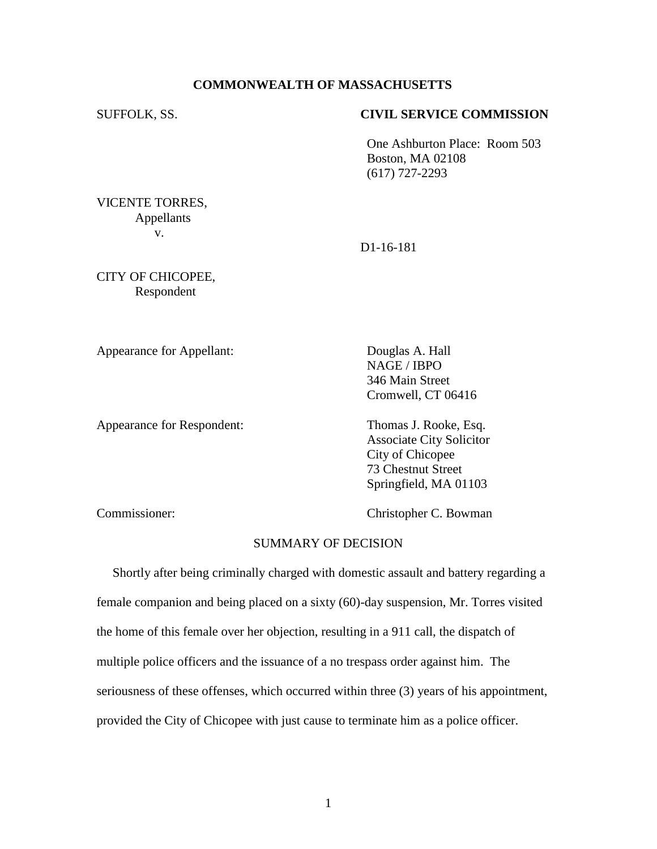# **COMMONWEALTH OF MASSACHUSETTS**

#### SUFFOLK, SS. **CIVIL SERVICE COMMISSION**

One Ashburton Place: Room 503 Boston, MA 02108 (617) 727-2293

VICENTE TORRES, Appellants v.

D1-16-181

CITY OF CHICOPEE, Respondent

Appearance for Appellant: Douglas A. Hall

NAGE / IBPO 346 Main Street Cromwell, CT 06416

Appearance for Respondent: Thomas J. Rooke, Esq.

Associate City Solicitor City of Chicopee 73 Chestnut Street Springfield, MA 01103

Commissioner: Christopher C. Bowman

# SUMMARY OF DECISION

 Shortly after being criminally charged with domestic assault and battery regarding a female companion and being placed on a sixty (60)-day suspension, Mr. Torres visited the home of this female over her objection, resulting in a 911 call, the dispatch of multiple police officers and the issuance of a no trespass order against him. The seriousness of these offenses, which occurred within three (3) years of his appointment, provided the City of Chicopee with just cause to terminate him as a police officer.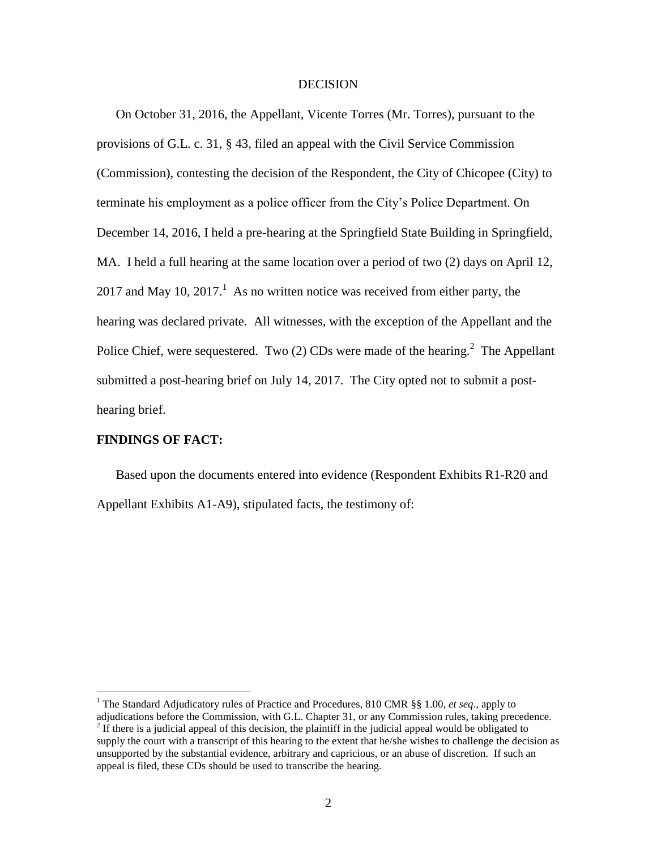#### **DECISION**

On October 31, 2016, the Appellant, Vicente Torres (Mr. Torres), pursuant to the provisions of G.L. c. 31, § 43, filed an appeal with the Civil Service Commission (Commission), contesting the decision of the Respondent, the City of Chicopee (City) to terminate his employment as a police officer from the City's Police Department. On December 14, 2016, I held a pre-hearing at the Springfield State Building in Springfield, MA. I held a full hearing at the same location over a period of two (2) days on April 12, 2017 and May 10, 2017.<sup>1</sup> As no written notice was received from either party, the hearing was declared private. All witnesses, with the exception of the Appellant and the Police Chief, were sequestered. Two  $(2)$  CDs were made of the hearing.<sup>2</sup> The Appellant submitted a post-hearing brief on July 14, 2017. The City opted not to submit a posthearing brief.

## **FINDINGS OF FACT:**

 $\overline{a}$ 

Based upon the documents entered into evidence (Respondent Exhibits R1-R20 and Appellant Exhibits A1-A9), stipulated facts, the testimony of:

<sup>1</sup> The Standard Adjudicatory rules of Practice and Procedures, 810 CMR §§ 1.00, *et seq*., apply to

adjudications before the Commission, with G.L. Chapter 31, or any Commission rules, taking precedence. <sup>2</sup> If there is a judicial appeal of this decision, the plaintiff in the judicial appeal would be obligated to supply the court with a transcript of this hearing to the extent that he/she wishes to challenge the decision as unsupported by the substantial evidence, arbitrary and capricious, or an abuse of discretion. If such an

appeal is filed, these CDs should be used to transcribe the hearing.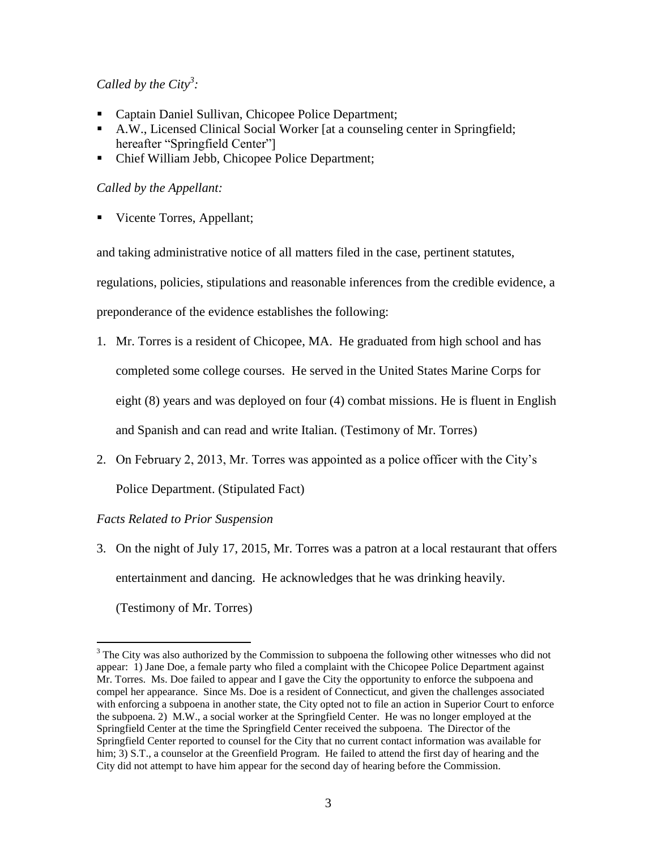# *Called by the City<sup>3</sup> :*

- Captain Daniel Sullivan, Chicopee Police Department;
- A.W., Licensed Clinical Social Worker [at a counseling center in Springfield; hereafter "Springfield Center"]
- Chief William Jebb, Chicopee Police Department;

# *Called by the Appellant:*

Vicente Torres, Appellant;

and taking administrative notice of all matters filed in the case, pertinent statutes,

regulations, policies, stipulations and reasonable inferences from the credible evidence, a

preponderance of the evidence establishes the following:

- 1. Mr. Torres is a resident of Chicopee, MA. He graduated from high school and has completed some college courses. He served in the United States Marine Corps for eight (8) years and was deployed on four (4) combat missions. He is fluent in English and Spanish and can read and write Italian. (Testimony of Mr. Torres)
- 2. On February 2, 2013, Mr. Torres was appointed as a police officer with the City's Police Department. (Stipulated Fact)

# *Facts Related to Prior Suspension*

3. On the night of July 17, 2015, Mr. Torres was a patron at a local restaurant that offers entertainment and dancing. He acknowledges that he was drinking heavily.

(Testimony of Mr. Torres)

 $\overline{a}$ 

<sup>&</sup>lt;sup>3</sup> The City was also authorized by the Commission to subpoena the following other witnesses who did not appear: 1) Jane Doe, a female party who filed a complaint with the Chicopee Police Department against Mr. Torres. Ms. Doe failed to appear and I gave the City the opportunity to enforce the subpoena and compel her appearance. Since Ms. Doe is a resident of Connecticut, and given the challenges associated with enforcing a subpoena in another state, the City opted not to file an action in Superior Court to enforce the subpoena. 2) M.W., a social worker at the Springfield Center. He was no longer employed at the Springfield Center at the time the Springfield Center received the subpoena. The Director of the Springfield Center reported to counsel for the City that no current contact information was available for him; 3) S.T., a counselor at the Greenfield Program. He failed to attend the first day of hearing and the City did not attempt to have him appear for the second day of hearing before the Commission.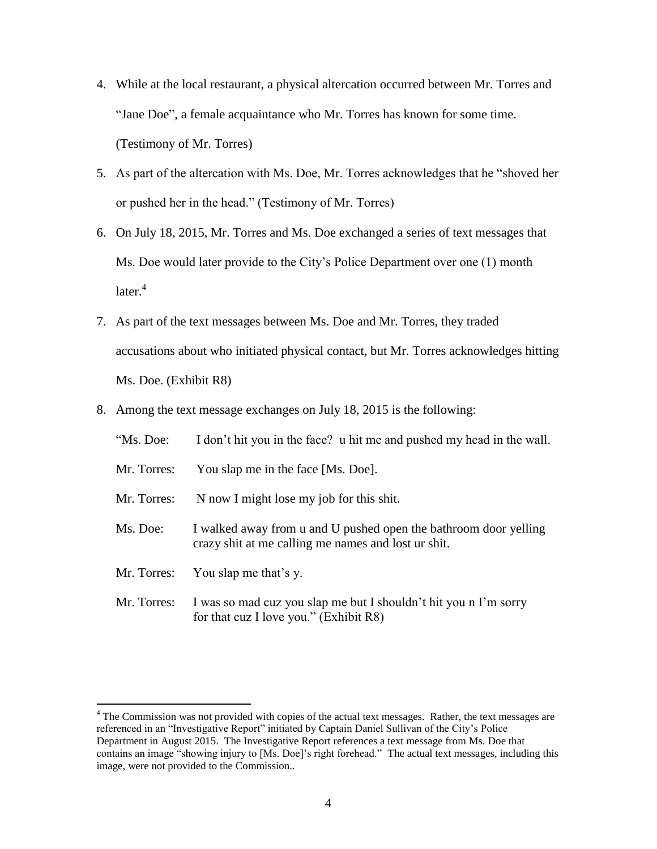- 4. While at the local restaurant, a physical altercation occurred between Mr. Torres and "Jane Doe", a female acquaintance who Mr. Torres has known for some time. (Testimony of Mr. Torres)
- 5. As part of the altercation with Ms. Doe, Mr. Torres acknowledges that he "shoved her or pushed her in the head." (Testimony of Mr. Torres)
- 6. On July 18, 2015, Mr. Torres and Ms. Doe exchanged a series of text messages that Ms. Doe would later provide to the City's Police Department over one (1) month  $\arctan^4$
- 7. As part of the text messages between Ms. Doe and Mr. Torres, they traded accusations about who initiated physical contact, but Mr. Torres acknowledges hitting Ms. Doe. (Exhibit R8)
- 8. Among the text message exchanges on July 18, 2015 is the following:

| "Ms. Doe:   | I don't hit you in the face? u hit me and pushed my head in the wall.                                                   |  |  |
|-------------|-------------------------------------------------------------------------------------------------------------------------|--|--|
| Mr. Torres: | You slap me in the face [Ms. Doe].                                                                                      |  |  |
| Mr. Torres: | N now I might lose my job for this shit.                                                                                |  |  |
| Ms. Doe:    | I walked away from u and U pushed open the bathroom door yelling<br>crazy shit at me calling me names and lost ur shit. |  |  |
| Mr. Torres: | You slap me that's y.                                                                                                   |  |  |
| Mr. Torres: | I was so mad cuz you slap me but I shouldn't hit you n I'm sorry<br>for that cuz I love you." $(Exhibit R8)$            |  |  |

 $\overline{a}$ 

 $4$  The Commission was not provided with copies of the actual text messages. Rather, the text messages are referenced in an "Investigative Report" initiated by Captain Daniel Sullivan of the City's Police Department in August 2015. The Investigative Report references a text message from Ms. Doe that contains an image "showing injury to [Ms. Doe]'s right forehead." The actual text messages, including this image, were not provided to the Commission..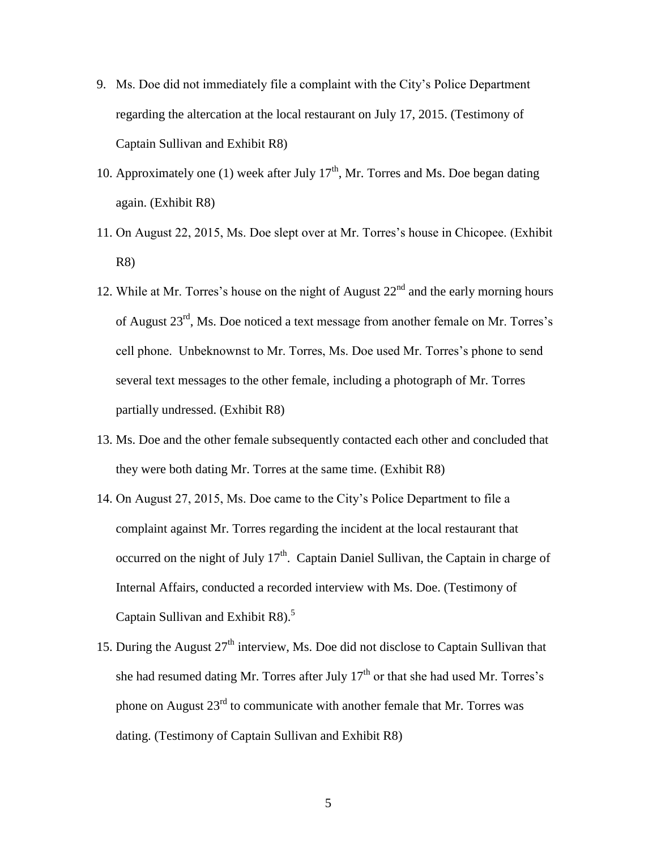- 9. Ms. Doe did not immediately file a complaint with the City's Police Department regarding the altercation at the local restaurant on July 17, 2015. (Testimony of Captain Sullivan and Exhibit R8)
- 10. Approximately one (1) week after July  $17<sup>th</sup>$ , Mr. Torres and Ms. Doe began dating again. (Exhibit R8)
- 11. On August 22, 2015, Ms. Doe slept over at Mr. Torres's house in Chicopee. (Exhibit R8)
- 12. While at Mr. Torres's house on the night of August  $22<sup>nd</sup>$  and the early morning hours of August 23rd, Ms. Doe noticed a text message from another female on Mr. Torres's cell phone. Unbeknownst to Mr. Torres, Ms. Doe used Mr. Torres's phone to send several text messages to the other female, including a photograph of Mr. Torres partially undressed. (Exhibit R8)
- 13. Ms. Doe and the other female subsequently contacted each other and concluded that they were both dating Mr. Torres at the same time. (Exhibit R8)
- 14. On August 27, 2015, Ms. Doe came to the City's Police Department to file a complaint against Mr. Torres regarding the incident at the local restaurant that occurred on the night of July  $17<sup>th</sup>$ . Captain Daniel Sullivan, the Captain in charge of Internal Affairs, conducted a recorded interview with Ms. Doe. (Testimony of Captain Sullivan and Exhibit R8).<sup>5</sup>
- 15. During the August 27<sup>th</sup> interview, Ms. Doe did not disclose to Captain Sullivan that she had resumed dating Mr. Torres after July  $17<sup>th</sup>$  or that she had used Mr. Torres's phone on August  $23<sup>rd</sup>$  to communicate with another female that Mr. Torres was dating. (Testimony of Captain Sullivan and Exhibit R8)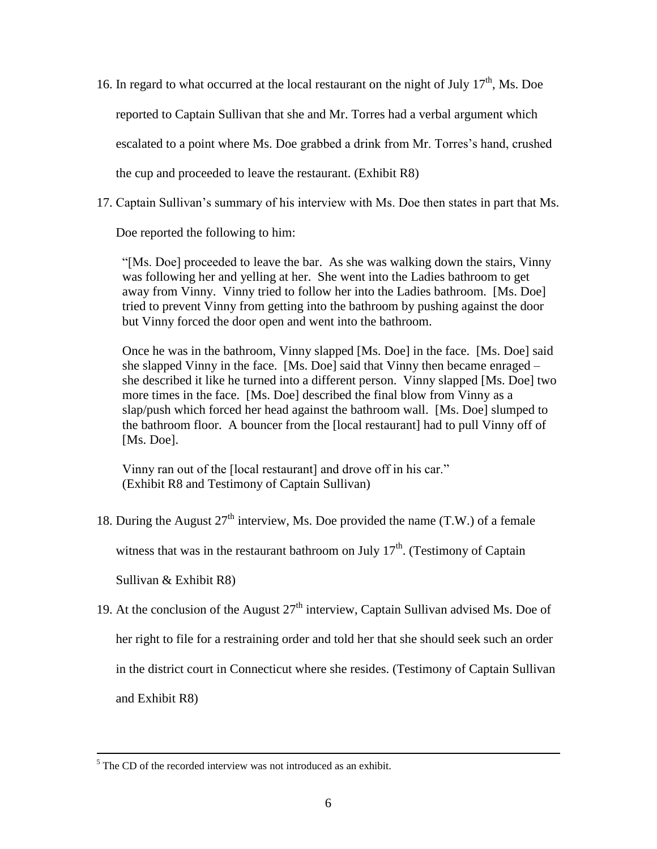- 16. In regard to what occurred at the local restaurant on the night of July  $17<sup>th</sup>$ , Ms. Doe reported to Captain Sullivan that she and Mr. Torres had a verbal argument which escalated to a point where Ms. Doe grabbed a drink from Mr. Torres's hand, crushed the cup and proceeded to leave the restaurant. (Exhibit R8)
- 17. Captain Sullivan's summary of his interview with Ms. Doe then states in part that Ms.

Doe reported the following to him:

"[Ms. Doe] proceeded to leave the bar. As she was walking down the stairs, Vinny was following her and yelling at her. She went into the Ladies bathroom to get away from Vinny. Vinny tried to follow her into the Ladies bathroom. [Ms. Doe] tried to prevent Vinny from getting into the bathroom by pushing against the door but Vinny forced the door open and went into the bathroom.

Once he was in the bathroom, Vinny slapped [Ms. Doe] in the face. [Ms. Doe] said she slapped Vinny in the face. [Ms. Doe] said that Vinny then became enraged – she described it like he turned into a different person. Vinny slapped [Ms. Doe] two more times in the face. [Ms. Doe] described the final blow from Vinny as a slap/push which forced her head against the bathroom wall. [Ms. Doe] slumped to the bathroom floor. A bouncer from the [local restaurant] had to pull Vinny off of [Ms. Doe].

Vinny ran out of the [local restaurant] and drove off in his car." (Exhibit R8 and Testimony of Captain Sullivan)

18. During the August  $27<sup>th</sup>$  interview, Ms. Doe provided the name (T.W.) of a female

witness that was in the restaurant bathroom on July  $17<sup>th</sup>$ . (Testimony of Captain

Sullivan & Exhibit R8)

 $\overline{a}$ 

19. At the conclusion of the August  $27<sup>th</sup>$  interview, Captain Sullivan advised Ms. Doe of her right to file for a restraining order and told her that she should seek such an order in the district court in Connecticut where she resides. (Testimony of Captain Sullivan and Exhibit R8)

 $5$  The CD of the recorded interview was not introduced as an exhibit.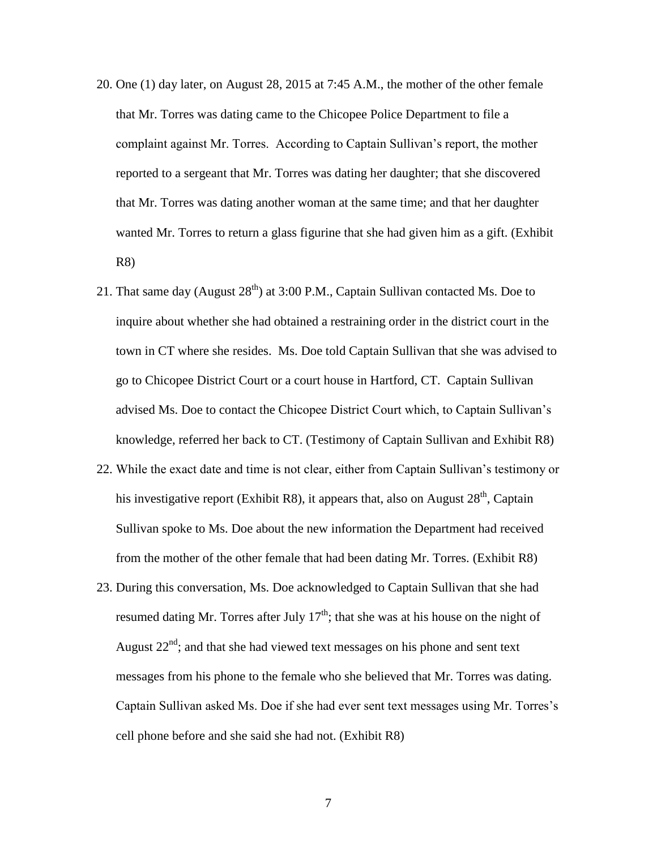- 20. One (1) day later, on August 28, 2015 at 7:45 A.M., the mother of the other female that Mr. Torres was dating came to the Chicopee Police Department to file a complaint against Mr. Torres. According to Captain Sullivan's report, the mother reported to a sergeant that Mr. Torres was dating her daughter; that she discovered that Mr. Torres was dating another woman at the same time; and that her daughter wanted Mr. Torres to return a glass figurine that she had given him as a gift. (Exhibit R8)
- 21. That same day (August  $28<sup>th</sup>$ ) at 3:00 P.M., Captain Sullivan contacted Ms. Doe to inquire about whether she had obtained a restraining order in the district court in the town in CT where she resides. Ms. Doe told Captain Sullivan that she was advised to go to Chicopee District Court or a court house in Hartford, CT. Captain Sullivan advised Ms. Doe to contact the Chicopee District Court which, to Captain Sullivan's knowledge, referred her back to CT. (Testimony of Captain Sullivan and Exhibit R8)
- 22. While the exact date and time is not clear, either from Captain Sullivan's testimony or his investigative report (Exhibit R8), it appears that, also on August  $28<sup>th</sup>$ , Captain Sullivan spoke to Ms. Doe about the new information the Department had received from the mother of the other female that had been dating Mr. Torres. (Exhibit R8)
- 23. During this conversation, Ms. Doe acknowledged to Captain Sullivan that she had resumed dating Mr. Torres after July  $17<sup>th</sup>$ ; that she was at his house on the night of August  $22<sup>nd</sup>$ ; and that she had viewed text messages on his phone and sent text messages from his phone to the female who she believed that Mr. Torres was dating. Captain Sullivan asked Ms. Doe if she had ever sent text messages using Mr. Torres's cell phone before and she said she had not. (Exhibit R8)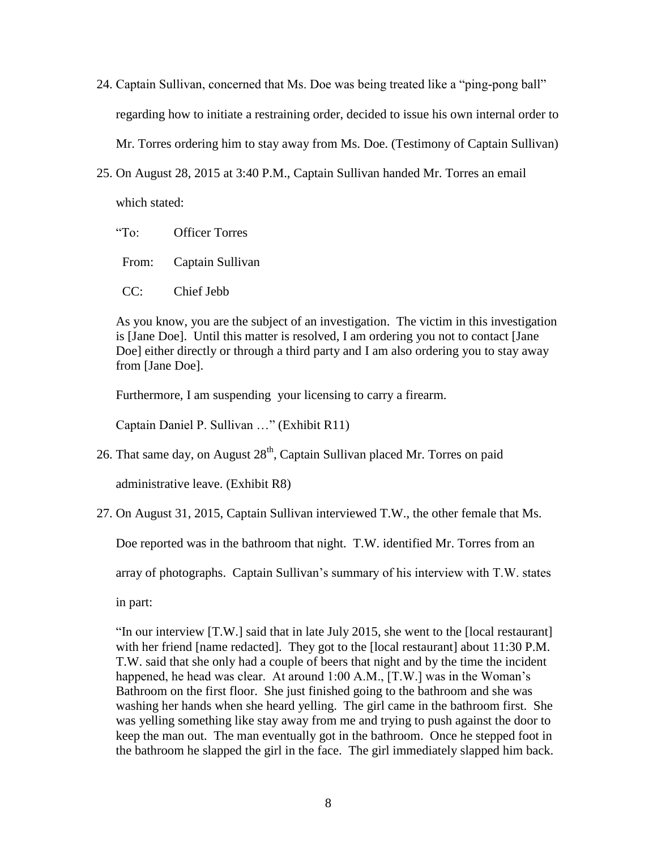- 24. Captain Sullivan, concerned that Ms. Doe was being treated like a "ping-pong ball" regarding how to initiate a restraining order, decided to issue his own internal order to Mr. Torres ordering him to stay away from Ms. Doe. (Testimony of Captain Sullivan)
- 25. On August 28, 2015 at 3:40 P.M., Captain Sullivan handed Mr. Torres an email which stated:

"To: Officer Torres

From: Captain Sullivan

CC: Chief Jebb

As you know, you are the subject of an investigation. The victim in this investigation is [Jane Doe]. Until this matter is resolved, I am ordering you not to contact [Jane Doe] either directly or through a third party and I am also ordering you to stay away from [Jane Doe].

Furthermore, I am suspending your licensing to carry a firearm.

Captain Daniel P. Sullivan …" (Exhibit R11)

26. That same day, on August  $28<sup>th</sup>$ , Captain Sullivan placed Mr. Torres on paid

administrative leave. (Exhibit R8)

27. On August 31, 2015, Captain Sullivan interviewed T.W., the other female that Ms.

Doe reported was in the bathroom that night. T.W. identified Mr. Torres from an

array of photographs. Captain Sullivan's summary of his interview with T.W. states

in part:

"In our interview [T.W.] said that in late July 2015, she went to the [local restaurant] with her friend [name redacted]. They got to the [local restaurant] about 11:30 P.M. T.W. said that she only had a couple of beers that night and by the time the incident happened, he head was clear. At around 1:00 A.M., [T.W.] was in the Woman's Bathroom on the first floor. She just finished going to the bathroom and she was washing her hands when she heard yelling. The girl came in the bathroom first. She was yelling something like stay away from me and trying to push against the door to keep the man out. The man eventually got in the bathroom. Once he stepped foot in the bathroom he slapped the girl in the face. The girl immediately slapped him back.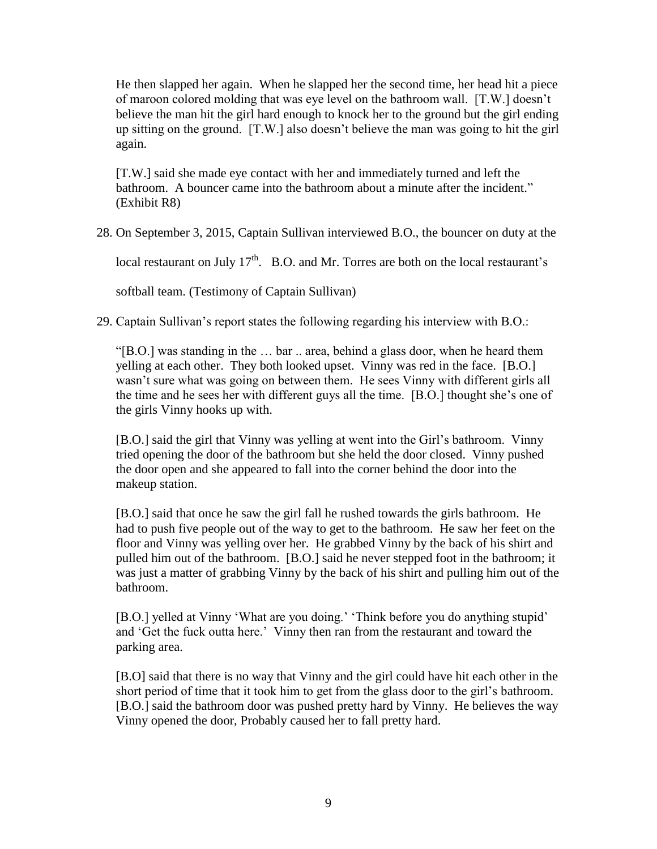He then slapped her again. When he slapped her the second time, her head hit a piece of maroon colored molding that was eye level on the bathroom wall. [T.W.] doesn't believe the man hit the girl hard enough to knock her to the ground but the girl ending up sitting on the ground. [T.W.] also doesn't believe the man was going to hit the girl again.

[T.W.] said she made eye contact with her and immediately turned and left the bathroom. A bouncer came into the bathroom about a minute after the incident." (Exhibit R8)

28. On September 3, 2015, Captain Sullivan interviewed B.O., the bouncer on duty at the

local restaurant on July  $17<sup>th</sup>$ . B.O. and Mr. Torres are both on the local restaurant's

softball team. (Testimony of Captain Sullivan)

29. Captain Sullivan's report states the following regarding his interview with B.O.:

"[B.O.] was standing in the … bar .. area, behind a glass door, when he heard them yelling at each other. They both looked upset. Vinny was red in the face. [B.O.] wasn't sure what was going on between them. He sees Vinny with different girls all the time and he sees her with different guys all the time. [B.O.] thought she's one of the girls Vinny hooks up with.

[B.O.] said the girl that Vinny was yelling at went into the Girl's bathroom. Vinny tried opening the door of the bathroom but she held the door closed. Vinny pushed the door open and she appeared to fall into the corner behind the door into the makeup station.

[B.O.] said that once he saw the girl fall he rushed towards the girls bathroom. He had to push five people out of the way to get to the bathroom. He saw her feet on the floor and Vinny was yelling over her. He grabbed Vinny by the back of his shirt and pulled him out of the bathroom. [B.O.] said he never stepped foot in the bathroom; it was just a matter of grabbing Vinny by the back of his shirt and pulling him out of the bathroom.

[B.O.] yelled at Vinny 'What are you doing.' 'Think before you do anything stupid' and 'Get the fuck outta here.' Vinny then ran from the restaurant and toward the parking area.

[B.O] said that there is no way that Vinny and the girl could have hit each other in the short period of time that it took him to get from the glass door to the girl's bathroom. [B.O.] said the bathroom door was pushed pretty hard by Vinny. He believes the way Vinny opened the door, Probably caused her to fall pretty hard.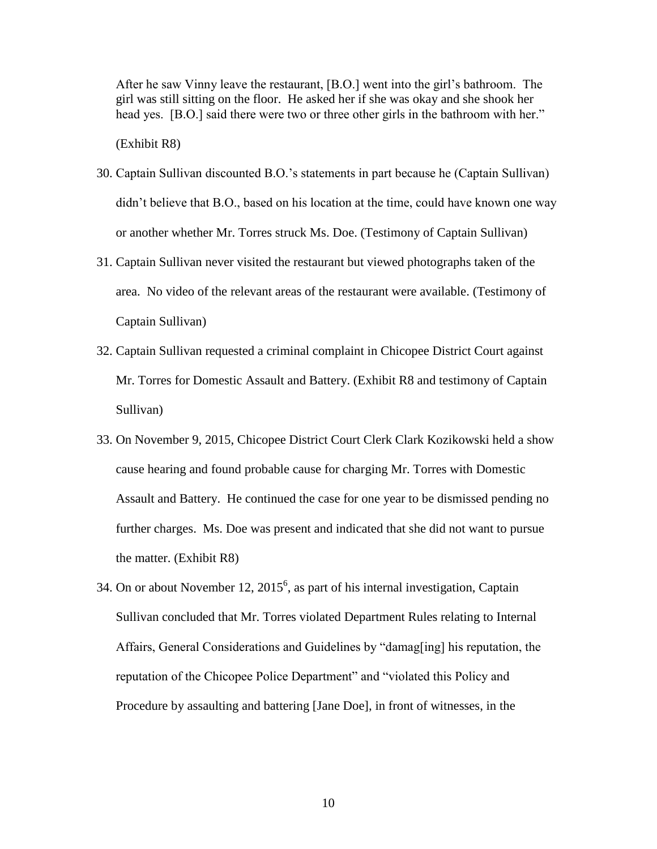After he saw Vinny leave the restaurant, [B.O.] went into the girl's bathroom. The girl was still sitting on the floor. He asked her if she was okay and she shook her head yes. [B.O.] said there were two or three other girls in the bathroom with her."

(Exhibit R8)

- 30. Captain Sullivan discounted B.O.'s statements in part because he (Captain Sullivan) didn't believe that B.O., based on his location at the time, could have known one way or another whether Mr. Torres struck Ms. Doe. (Testimony of Captain Sullivan)
- 31. Captain Sullivan never visited the restaurant but viewed photographs taken of the area. No video of the relevant areas of the restaurant were available. (Testimony of Captain Sullivan)
- 32. Captain Sullivan requested a criminal complaint in Chicopee District Court against Mr. Torres for Domestic Assault and Battery. (Exhibit R8 and testimony of Captain Sullivan)
- 33. On November 9, 2015, Chicopee District Court Clerk Clark Kozikowski held a show cause hearing and found probable cause for charging Mr. Torres with Domestic Assault and Battery. He continued the case for one year to be dismissed pending no further charges. Ms. Doe was present and indicated that she did not want to pursue the matter. (Exhibit R8)
- 34. On or about November 12,  $2015<sup>6</sup>$ , as part of his internal investigation, Captain Sullivan concluded that Mr. Torres violated Department Rules relating to Internal Affairs, General Considerations and Guidelines by "damag[ing] his reputation, the reputation of the Chicopee Police Department" and "violated this Policy and Procedure by assaulting and battering [Jane Doe], in front of witnesses, in the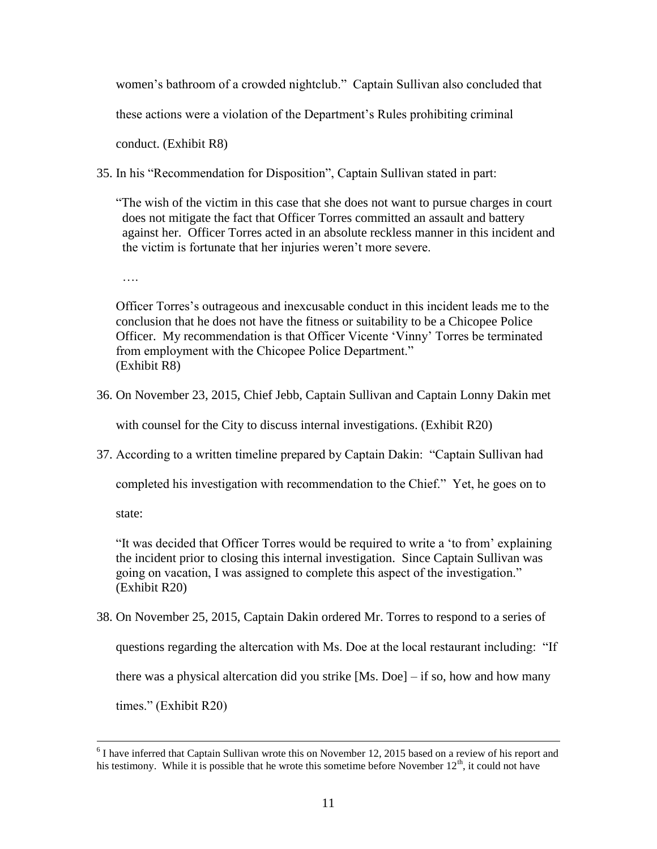women's bathroom of a crowded nightclub." Captain Sullivan also concluded that

these actions were a violation of the Department's Rules prohibiting criminal

conduct. (Exhibit R8)

- 35. In his "Recommendation for Disposition", Captain Sullivan stated in part:
	- "The wish of the victim in this case that she does not want to pursue charges in court does not mitigate the fact that Officer Torres committed an assault and battery against her. Officer Torres acted in an absolute reckless manner in this incident and the victim is fortunate that her injuries weren't more severe.

….

Officer Torres's outrageous and inexcusable conduct in this incident leads me to the conclusion that he does not have the fitness or suitability to be a Chicopee Police Officer. My recommendation is that Officer Vicente 'Vinny' Torres be terminated from employment with the Chicopee Police Department." (Exhibit R8)

36. On November 23, 2015, Chief Jebb, Captain Sullivan and Captain Lonny Dakin met

with counsel for the City to discuss internal investigations. (Exhibit R20)

37. According to a written timeline prepared by Captain Dakin: "Captain Sullivan had

completed his investigation with recommendation to the Chief." Yet, he goes on to

state:

 $\overline{a}$ 

"It was decided that Officer Torres would be required to write a 'to from' explaining the incident prior to closing this internal investigation. Since Captain Sullivan was going on vacation, I was assigned to complete this aspect of the investigation." (Exhibit R20)

38. On November 25, 2015, Captain Dakin ordered Mr. Torres to respond to a series of questions regarding the altercation with Ms. Doe at the local restaurant including: "If there was a physical altercation did you strike [Ms. Doe] – if so, how and how many times." (Exhibit R20)

 $6$  I have inferred that Captain Sullivan wrote this on November 12, 2015 based on a review of his report and his testimony. While it is possible that he wrote this sometime before November  $12<sup>th</sup>$ , it could not have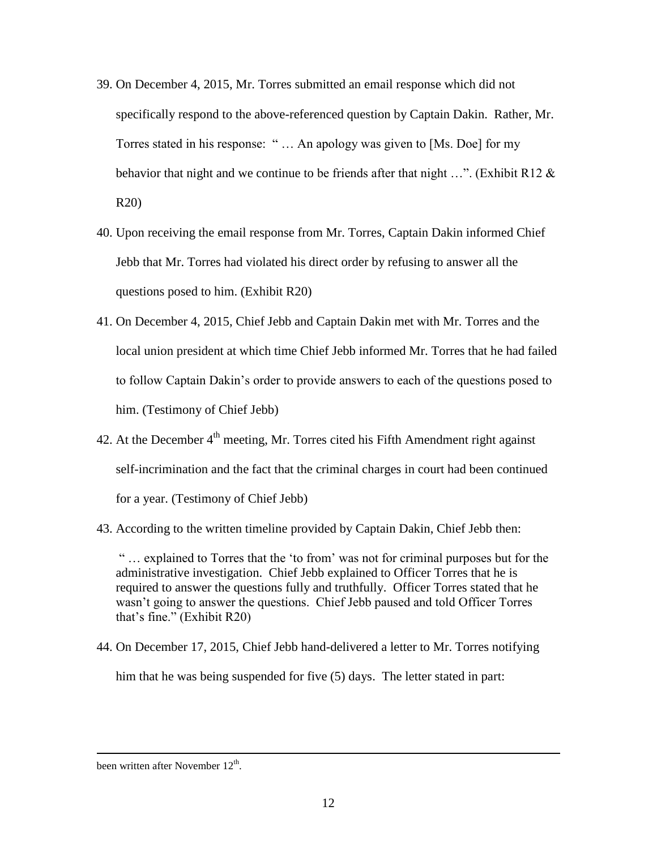- 39. On December 4, 2015, Mr. Torres submitted an email response which did not specifically respond to the above-referenced question by Captain Dakin. Rather, Mr. Torres stated in his response: " … An apology was given to [Ms. Doe] for my behavior that night and we continue to be friends after that night ...". (Exhibit R12  $\&$ R20)
- 40. Upon receiving the email response from Mr. Torres, Captain Dakin informed Chief Jebb that Mr. Torres had violated his direct order by refusing to answer all the questions posed to him. (Exhibit R20)
- 41. On December 4, 2015, Chief Jebb and Captain Dakin met with Mr. Torres and the local union president at which time Chief Jebb informed Mr. Torres that he had failed to follow Captain Dakin's order to provide answers to each of the questions posed to him. (Testimony of Chief Jebb)
- 42. At the December  $4<sup>th</sup>$  meeting, Mr. Torres cited his Fifth Amendment right against self-incrimination and the fact that the criminal charges in court had been continued for a year. (Testimony of Chief Jebb)
- 43. According to the written timeline provided by Captain Dakin, Chief Jebb then:

" … explained to Torres that the 'to from' was not for criminal purposes but for the administrative investigation. Chief Jebb explained to Officer Torres that he is required to answer the questions fully and truthfully. Officer Torres stated that he wasn't going to answer the questions. Chief Jebb paused and told Officer Torres that's fine." (Exhibit R20)

44. On December 17, 2015, Chief Jebb hand-delivered a letter to Mr. Torres notifying

him that he was being suspended for five (5) days. The letter stated in part:

 $\overline{a}$ 

been written after November  $12^{th}$ .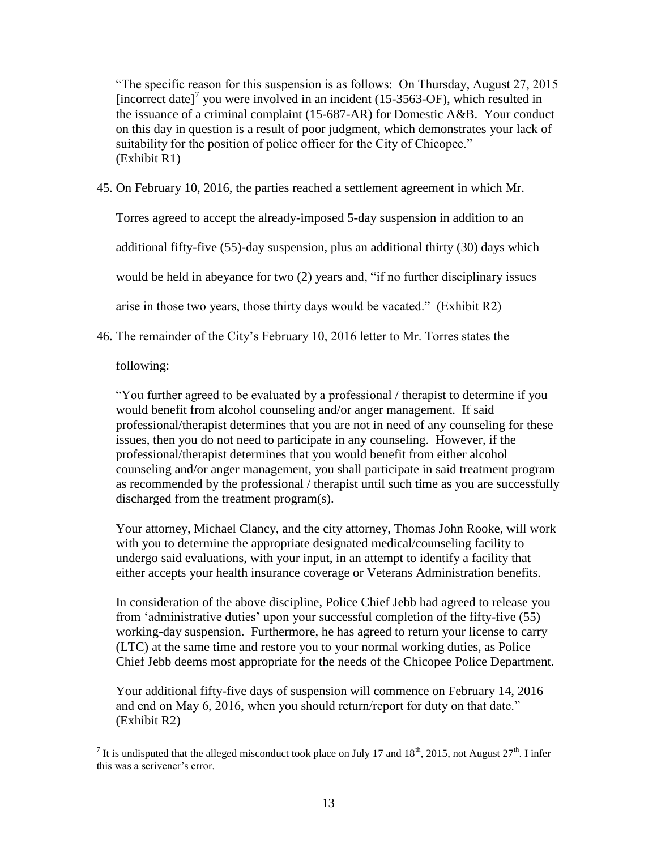"The specific reason for this suspension is as follows: On Thursday, August 27, 2015 [incorrect date]<sup>7</sup> you were involved in an incident (15-3563-OF), which resulted in the issuance of a criminal complaint (15-687-AR) for Domestic A&B. Your conduct on this day in question is a result of poor judgment, which demonstrates your lack of suitability for the position of police officer for the City of Chicopee." (Exhibit R1)

45. On February 10, 2016, the parties reached a settlement agreement in which Mr.

Torres agreed to accept the already-imposed 5-day suspension in addition to an additional fifty-five (55)-day suspension, plus an additional thirty (30) days which would be held in abeyance for two (2) years and, "if no further disciplinary issues arise in those two years, those thirty days would be vacated." (Exhibit R2)

46. The remainder of the City's February 10, 2016 letter to Mr. Torres states the

following:

"You further agreed to be evaluated by a professional / therapist to determine if you would benefit from alcohol counseling and/or anger management. If said professional/therapist determines that you are not in need of any counseling for these issues, then you do not need to participate in any counseling. However, if the professional/therapist determines that you would benefit from either alcohol counseling and/or anger management, you shall participate in said treatment program as recommended by the professional / therapist until such time as you are successfully discharged from the treatment program(s).

Your attorney, Michael Clancy, and the city attorney, Thomas John Rooke, will work with you to determine the appropriate designated medical/counseling facility to undergo said evaluations, with your input, in an attempt to identify a facility that either accepts your health insurance coverage or Veterans Administration benefits.

In consideration of the above discipline, Police Chief Jebb had agreed to release you from 'administrative duties' upon your successful completion of the fifty-five (55) working-day suspension. Furthermore, he has agreed to return your license to carry (LTC) at the same time and restore you to your normal working duties, as Police Chief Jebb deems most appropriate for the needs of the Chicopee Police Department.

Your additional fifty-five days of suspension will commence on February 14, 2016 and end on May 6, 2016, when you should return/report for duty on that date." (Exhibit R2)

<sup>&</sup>lt;sup>7</sup> It is undisputed that the alleged misconduct took place on July 17 and 18<sup>th</sup>, 2015, not August 27<sup>th</sup>. I infer this was a scrivener's error.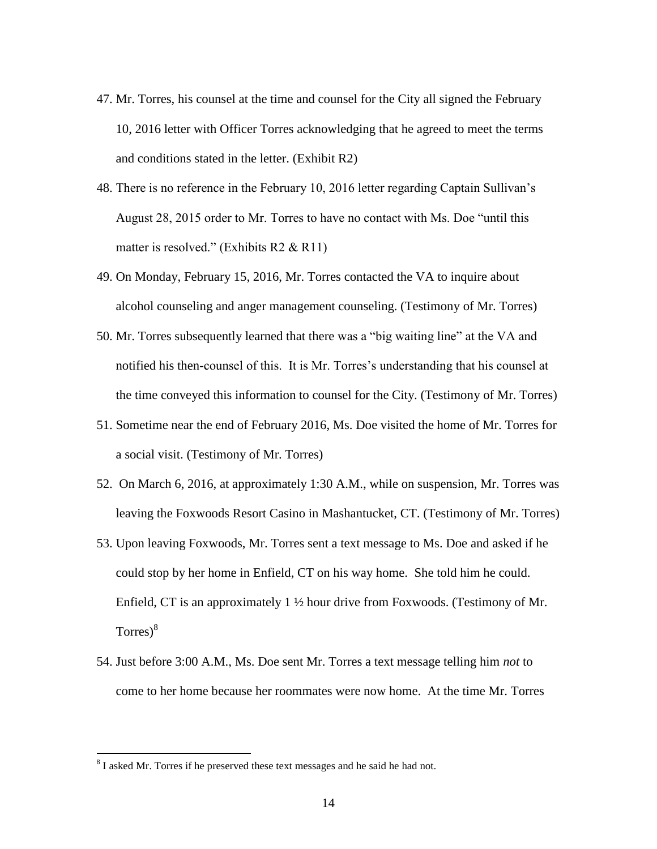- 47. Mr. Torres, his counsel at the time and counsel for the City all signed the February 10, 2016 letter with Officer Torres acknowledging that he agreed to meet the terms and conditions stated in the letter. (Exhibit R2)
- 48. There is no reference in the February 10, 2016 letter regarding Captain Sullivan's August 28, 2015 order to Mr. Torres to have no contact with Ms. Doe "until this matter is resolved." (Exhibits R2 & R11)
- 49. On Monday, February 15, 2016, Mr. Torres contacted the VA to inquire about alcohol counseling and anger management counseling. (Testimony of Mr. Torres)
- 50. Mr. Torres subsequently learned that there was a "big waiting line" at the VA and notified his then-counsel of this. It is Mr. Torres's understanding that his counsel at the time conveyed this information to counsel for the City. (Testimony of Mr. Torres)
- 51. Sometime near the end of February 2016, Ms. Doe visited the home of Mr. Torres for a social visit. (Testimony of Mr. Torres)
- 52. On March 6, 2016, at approximately 1:30 A.M., while on suspension, Mr. Torres was leaving the Foxwoods Resort Casino in Mashantucket, CT. (Testimony of Mr. Torres)
- 53. Upon leaving Foxwoods, Mr. Torres sent a text message to Ms. Doe and asked if he could stop by her home in Enfield, CT on his way home. She told him he could. Enfield, CT is an approximately 1 ½ hour drive from Foxwoods. (Testimony of Mr.  $Torres$ <sup>8</sup>
- 54. Just before 3:00 A.M., Ms. Doe sent Mr. Torres a text message telling him *not* to come to her home because her roommates were now home. At the time Mr. Torres

 $\overline{a}$ 

 $8<sup>8</sup>$  I asked Mr. Torres if he preserved these text messages and he said he had not.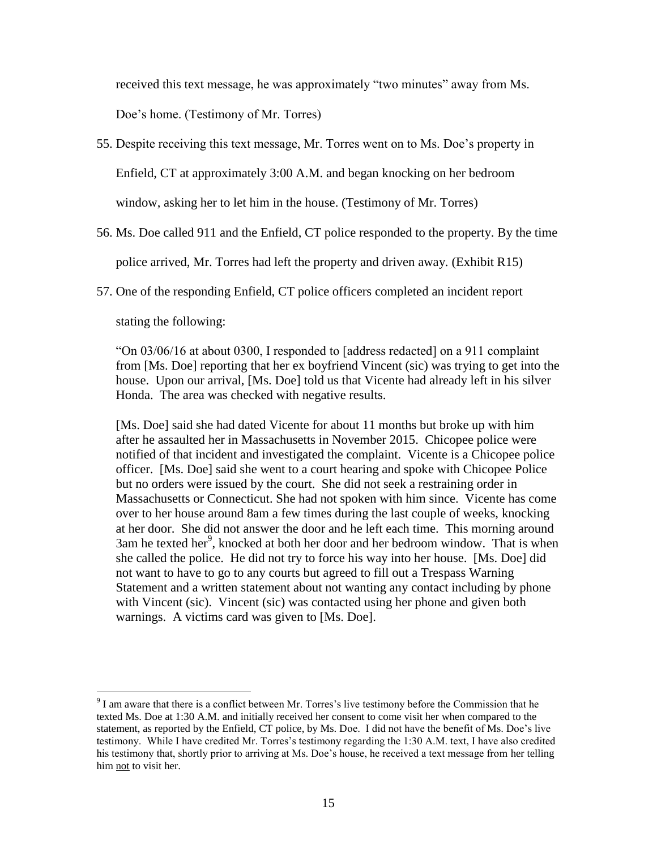received this text message, he was approximately "two minutes" away from Ms.

Doe's home. (Testimony of Mr. Torres)

- 55. Despite receiving this text message, Mr. Torres went on to Ms. Doe's property in Enfield, CT at approximately 3:00 A.M. and began knocking on her bedroom window, asking her to let him in the house. (Testimony of Mr. Torres)
- 56. Ms. Doe called 911 and the Enfield, CT police responded to the property. By the time

police arrived, Mr. Torres had left the property and driven away. (Exhibit R15)

57. One of the responding Enfield, CT police officers completed an incident report

stating the following:

 $\overline{a}$ 

"On 03/06/16 at about 0300, I responded to [address redacted] on a 911 complaint from [Ms. Doe] reporting that her ex boyfriend Vincent (sic) was trying to get into the house. Upon our arrival, [Ms. Doe] told us that Vicente had already left in his silver Honda. The area was checked with negative results.

[Ms. Doe] said she had dated Vicente for about 11 months but broke up with him after he assaulted her in Massachusetts in November 2015. Chicopee police were notified of that incident and investigated the complaint. Vicente is a Chicopee police officer. [Ms. Doe] said she went to a court hearing and spoke with Chicopee Police but no orders were issued by the court. She did not seek a restraining order in Massachusetts or Connecticut. She had not spoken with him since. Vicente has come over to her house around 8am a few times during the last couple of weeks, knocking at her door. She did not answer the door and he left each time. This morning around 3am he texted her<sup>9</sup>, knocked at both her door and her bedroom window. That is when she called the police. He did not try to force his way into her house. [Ms. Doe] did not want to have to go to any courts but agreed to fill out a Trespass Warning Statement and a written statement about not wanting any contact including by phone with Vincent (sic). Vincent (sic) was contacted using her phone and given both warnings. A victims card was given to [Ms. Doe].

 $9<sup>9</sup>$  I am aware that there is a conflict between Mr. Torres's live testimony before the Commission that he texted Ms. Doe at 1:30 A.M. and initially received her consent to come visit her when compared to the statement, as reported by the Enfield, CT police, by Ms. Doe. I did not have the benefit of Ms. Doe's live testimony. While I have credited Mr. Torres's testimony regarding the 1:30 A.M. text, I have also credited his testimony that, shortly prior to arriving at Ms. Doe's house, he received a text message from her telling him not to visit her.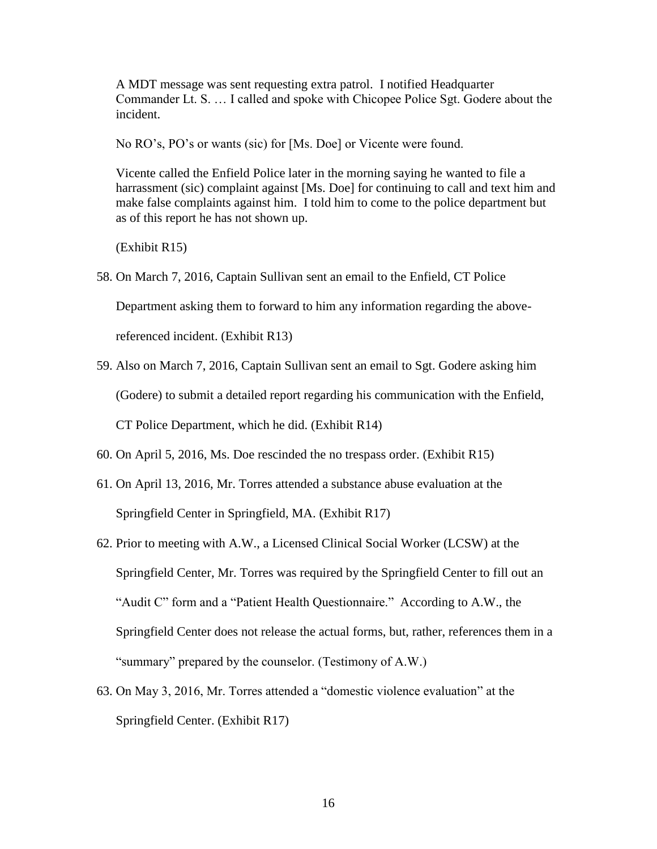A MDT message was sent requesting extra patrol. I notified Headquarter Commander Lt. S. … I called and spoke with Chicopee Police Sgt. Godere about the incident.

No RO's, PO's or wants (sic) for [Ms. Doe] or Vicente were found.

Vicente called the Enfield Police later in the morning saying he wanted to file a harrassment (sic) complaint against [Ms. Doe] for continuing to call and text him and make false complaints against him. I told him to come to the police department but as of this report he has not shown up.

(Exhibit R15)

58. On March 7, 2016, Captain Sullivan sent an email to the Enfield, CT Police

Department asking them to forward to him any information regarding the above-

referenced incident. (Exhibit R13)

59. Also on March 7, 2016, Captain Sullivan sent an email to Sgt. Godere asking him

(Godere) to submit a detailed report regarding his communication with the Enfield,

CT Police Department, which he did. (Exhibit R14)

60. On April 5, 2016, Ms. Doe rescinded the no trespass order. (Exhibit R15)

- 61. On April 13, 2016, Mr. Torres attended a substance abuse evaluation at the Springfield Center in Springfield, MA. (Exhibit R17)
- 62. Prior to meeting with A.W., a Licensed Clinical Social Worker (LCSW) at the Springfield Center, Mr. Torres was required by the Springfield Center to fill out an "Audit C" form and a "Patient Health Questionnaire." According to A.W., the Springfield Center does not release the actual forms, but, rather, references them in a "summary" prepared by the counselor. (Testimony of A.W.)
- 63. On May 3, 2016, Mr. Torres attended a "domestic violence evaluation" at the Springfield Center. (Exhibit R17)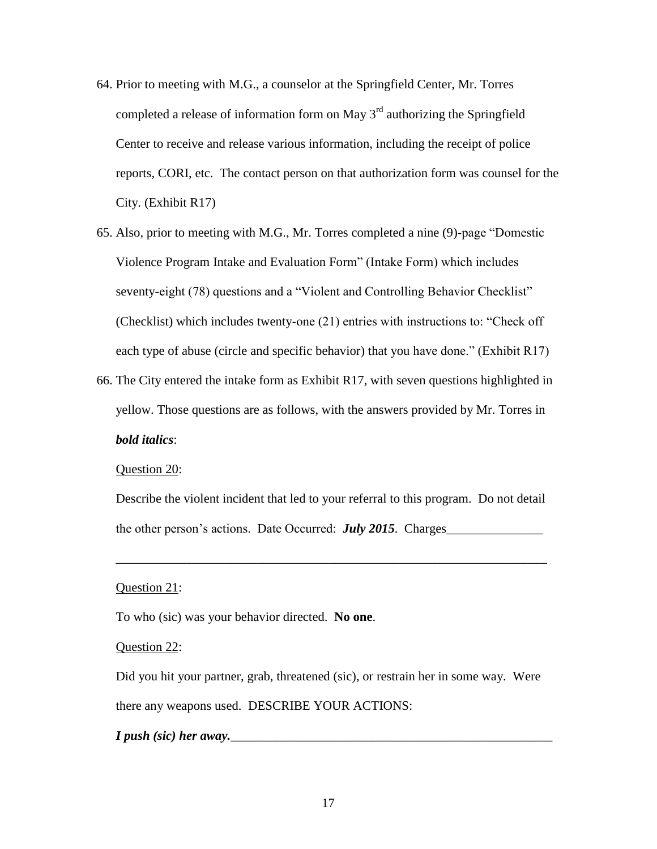- 64. Prior to meeting with M.G., a counselor at the Springfield Center, Mr. Torres completed a release of information form on May  $3<sup>rd</sup>$  authorizing the Springfield Center to receive and release various information, including the receipt of police reports, CORI, etc. The contact person on that authorization form was counsel for the City. (Exhibit R17)
- 65. Also, prior to meeting with M.G., Mr. Torres completed a nine (9)-page "Domestic Violence Program Intake and Evaluation Form" (Intake Form) which includes seventy-eight (78) questions and a "Violent and Controlling Behavior Checklist" (Checklist) which includes twenty-one (21) entries with instructions to: "Check off each type of abuse (circle and specific behavior) that you have done." (Exhibit R17)
- 66. The City entered the intake form as Exhibit R17, with seven questions highlighted in yellow. Those questions are as follows, with the answers provided by Mr. Torres in *bold italics*:

#### Question 20:

Describe the violent incident that led to your referral to this program. Do not detail the other person's actions. Date Occurred: *July 2015*. Charges\_\_\_\_\_\_\_\_\_\_\_\_\_\_\_

\_\_\_\_\_\_\_\_\_\_\_\_\_\_\_\_\_\_\_\_\_\_\_\_\_\_\_\_\_\_\_\_\_\_\_\_\_\_\_\_\_\_\_\_\_\_\_\_\_\_\_\_\_\_\_\_\_\_\_\_\_\_\_\_\_\_\_

#### Question 21:

To who (sic) was your behavior directed. **No one**.

#### Question 22:

Did you hit your partner, grab, threatened (sic), or restrain her in some way. Were there any weapons used. DESCRIBE YOUR ACTIONS:

*I* push (sic) her away.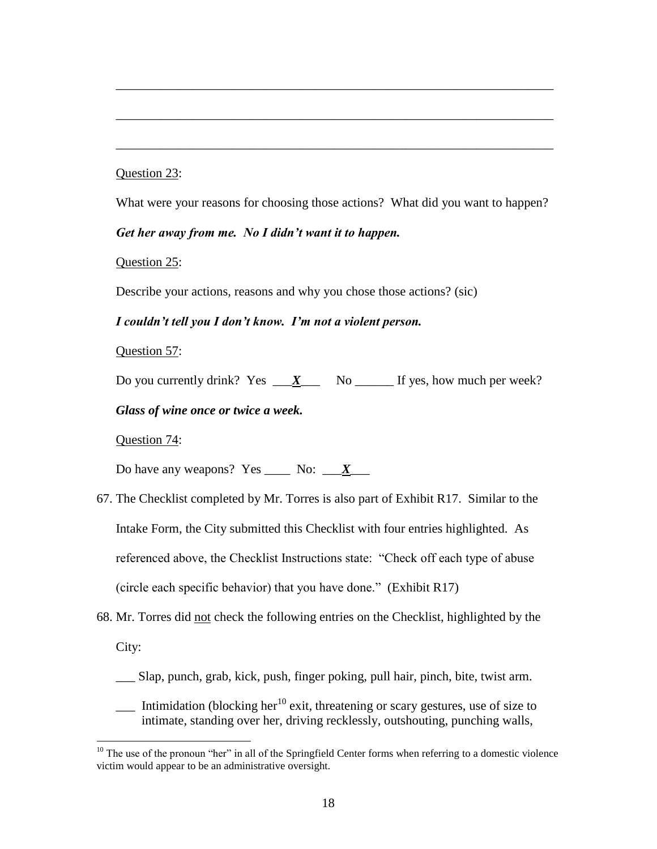## Question 23:

What were your reasons for choosing those actions? What did you want to happen?

\_\_\_\_\_\_\_\_\_\_\_\_\_\_\_\_\_\_\_\_\_\_\_\_\_\_\_\_\_\_\_\_\_\_\_\_\_\_\_\_\_\_\_\_\_\_\_\_\_\_\_\_\_\_\_\_\_\_\_\_\_\_\_\_\_\_\_\_

\_\_\_\_\_\_\_\_\_\_\_\_\_\_\_\_\_\_\_\_\_\_\_\_\_\_\_\_\_\_\_\_\_\_\_\_\_\_\_\_\_\_\_\_\_\_\_\_\_\_\_\_\_\_\_\_\_\_\_\_\_\_\_\_\_\_\_\_

\_\_\_\_\_\_\_\_\_\_\_\_\_\_\_\_\_\_\_\_\_\_\_\_\_\_\_\_\_\_\_\_\_\_\_\_\_\_\_\_\_\_\_\_\_\_\_\_\_\_\_\_\_\_\_\_\_\_\_\_\_\_\_\_\_\_\_\_

*Get her away from me. No I didn't want it to happen.*

Question 25:

Describe your actions, reasons and why you chose those actions? (sic)

#### *I couldn't tell you I don't know. I'm not a violent person.*

Question 57:

Do you currently drink? Yes  $\frac{X}{X}$  No  $\frac{X}{X}$  No  $\frac{X}{X}$  No  $\frac{X}{X}$  No  $\frac{X}{X}$  No  $\frac{X}{X}$  No  $\frac{X}{X}$  No  $\frac{X}{X}$  No  $\frac{X}{X}$  No  $\frac{X}{X}$  No  $\frac{X}{X}$  No  $\frac{X}{X}$  No  $\frac{X}{X}$  No  $\frac{X}{X}$  No  $\frac{X}{X}$  N

## *Glass of wine once or twice a week.*

Question 74:

 $\overline{a}$ 

Do have any weapons? Yes \_\_\_\_\_ No:  $\frac{X}{X}$ 

- 67. The Checklist completed by Mr. Torres is also part of Exhibit R17. Similar to the Intake Form, the City submitted this Checklist with four entries highlighted. As referenced above, the Checklist Instructions state: "Check off each type of abuse (circle each specific behavior) that you have done." (Exhibit R17)
- 68. Mr. Torres did not check the following entries on the Checklist, highlighted by the City:
	- \_\_\_ Slap, punch, grab, kick, push, finger poking, pull hair, pinch, bite, twist arm.
	- $\frac{1}{\sqrt{1-\frac{1}{\sqrt{1-\frac{1}{\sqrt{1-\frac{1}{\sqrt{1-\frac{1}{\sqrt{1-\frac{1}{\sqrt{1-\frac{1}{\sqrt{1-\frac{1}{\sqrt{1-\frac{1}{\sqrt{1-\frac{1}{\sqrt{1-\frac{1}{\sqrt{1-\frac{1}{\sqrt{1-\frac{1}{\sqrt{1-\frac{1}{\sqrt{1-\frac{1}{\sqrt{1-\frac{1}{\sqrt{1-\frac{1}{\sqrt{1-\frac{1}{\sqrt{1-\frac{1}{\sqrt{1-\frac{1}{\sqrt{1-\frac{1}{\sqrt{1-\frac{1}{\sqrt{1-\frac{1}{\sqrt{1-\frac{1}{\sqrt{1-\frac{1$ intimate, standing over her, driving recklessly, outshouting, punching walls,

 $10$  The use of the pronoun "her" in all of the Springfield Center forms when referring to a domestic violence victim would appear to be an administrative oversight.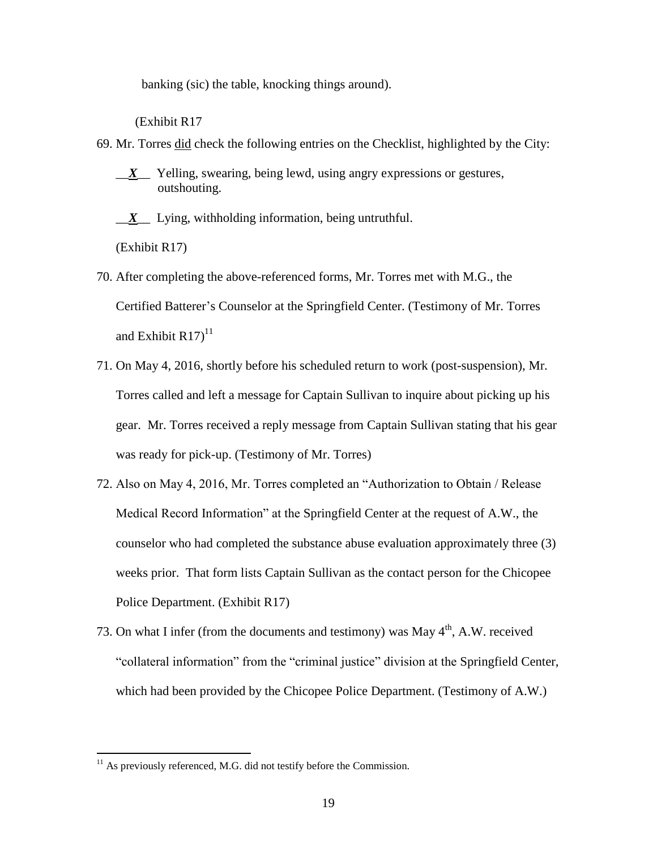banking (sic) the table, knocking things around).

(Exhibit R17

- 69. Mr. Torres did check the following entries on the Checklist, highlighted by the City:
	- \_\_*X*\_\_ Yelling, swearing, being lewd, using angry expressions or gestures, outshouting.
	- \_\_*X*\_\_ Lying, withholding information, being untruthful.

(Exhibit R17)

 $\overline{a}$ 

- 70. After completing the above-referenced forms, Mr. Torres met with M.G., the Certified Batterer's Counselor at the Springfield Center. (Testimony of Mr. Torres and Exhibit  $R17$ <sup>11</sup>
- 71. On May 4, 2016, shortly before his scheduled return to work (post-suspension), Mr. Torres called and left a message for Captain Sullivan to inquire about picking up his gear. Mr. Torres received a reply message from Captain Sullivan stating that his gear was ready for pick-up. (Testimony of Mr. Torres)
- 72. Also on May 4, 2016, Mr. Torres completed an "Authorization to Obtain / Release Medical Record Information" at the Springfield Center at the request of A.W., the counselor who had completed the substance abuse evaluation approximately three (3) weeks prior. That form lists Captain Sullivan as the contact person for the Chicopee Police Department. (Exhibit R17)
- 73. On what I infer (from the documents and testimony) was May  $4<sup>th</sup>$ , A.W. received "collateral information" from the "criminal justice" division at the Springfield Center, which had been provided by the Chicopee Police Department. (Testimony of A.W.)

 $11$  As previously referenced, M.G. did not testify before the Commission.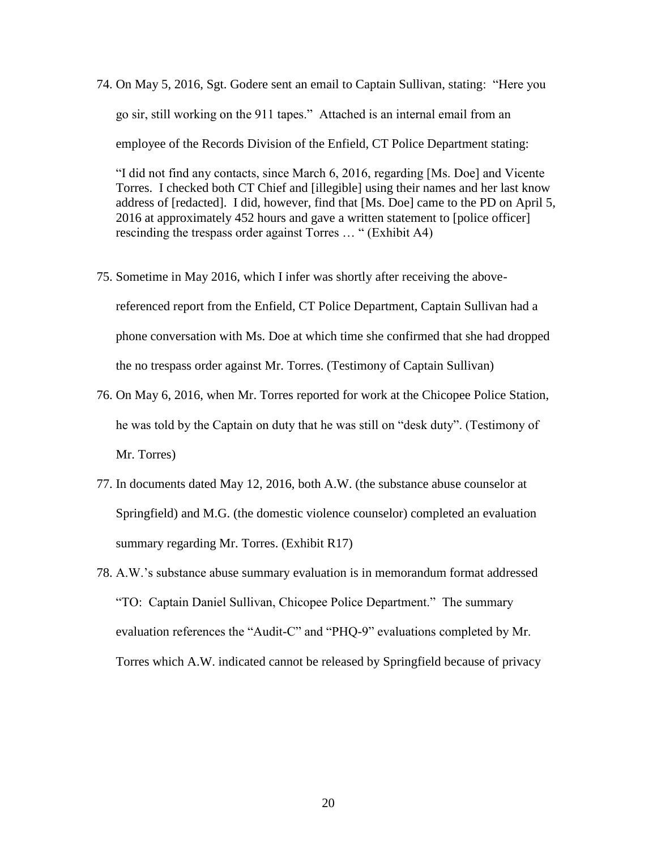74. On May 5, 2016, Sgt. Godere sent an email to Captain Sullivan, stating: "Here you go sir, still working on the 911 tapes." Attached is an internal email from an employee of the Records Division of the Enfield, CT Police Department stating:

"I did not find any contacts, since March 6, 2016, regarding [Ms. Doe] and Vicente Torres. I checked both CT Chief and [illegible] using their names and her last know address of [redacted]. I did, however, find that [Ms. Doe] came to the PD on April 5, 2016 at approximately 452 hours and gave a written statement to [police officer] rescinding the trespass order against Torres … " (Exhibit A4)

- 75. Sometime in May 2016, which I infer was shortly after receiving the abovereferenced report from the Enfield, CT Police Department, Captain Sullivan had a phone conversation with Ms. Doe at which time she confirmed that she had dropped the no trespass order against Mr. Torres. (Testimony of Captain Sullivan)
- 76. On May 6, 2016, when Mr. Torres reported for work at the Chicopee Police Station, he was told by the Captain on duty that he was still on "desk duty". (Testimony of Mr. Torres)
- 77. In documents dated May 12, 2016, both A.W. (the substance abuse counselor at Springfield) and M.G. (the domestic violence counselor) completed an evaluation summary regarding Mr. Torres. (Exhibit R17)
- 78. A.W.'s substance abuse summary evaluation is in memorandum format addressed "TO: Captain Daniel Sullivan, Chicopee Police Department." The summary evaluation references the "Audit-C" and "PHQ-9" evaluations completed by Mr. Torres which A.W. indicated cannot be released by Springfield because of privacy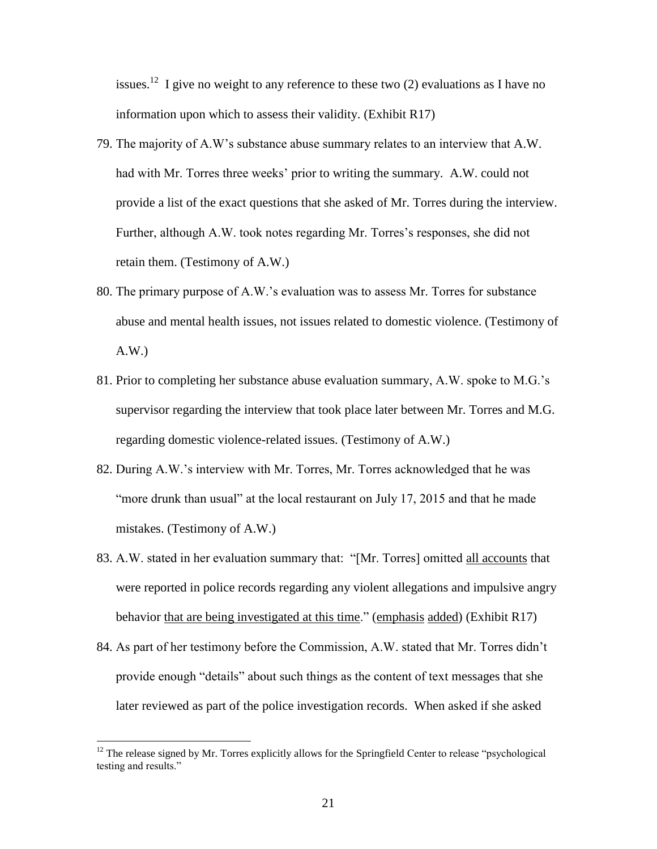issues.<sup>12</sup> I give no weight to any reference to these two (2) evaluations as I have no information upon which to assess their validity. (Exhibit R17)

- 79. The majority of A.W's substance abuse summary relates to an interview that A.W. had with Mr. Torres three weeks' prior to writing the summary. A.W. could not provide a list of the exact questions that she asked of Mr. Torres during the interview. Further, although A.W. took notes regarding Mr. Torres's responses, she did not retain them. (Testimony of A.W.)
- 80. The primary purpose of A.W.'s evaluation was to assess Mr. Torres for substance abuse and mental health issues, not issues related to domestic violence. (Testimony of A.W.)
- 81. Prior to completing her substance abuse evaluation summary, A.W. spoke to M.G.'s supervisor regarding the interview that took place later between Mr. Torres and M.G. regarding domestic violence-related issues. (Testimony of A.W.)
- 82. During A.W.'s interview with Mr. Torres, Mr. Torres acknowledged that he was "more drunk than usual" at the local restaurant on July 17, 2015 and that he made mistakes. (Testimony of A.W.)
- 83. A.W. stated in her evaluation summary that: "[Mr. Torres] omitted all accounts that were reported in police records regarding any violent allegations and impulsive angry behavior that are being investigated at this time." (emphasis added) (Exhibit R17)
- 84. As part of her testimony before the Commission, A.W. stated that Mr. Torres didn't provide enough "details" about such things as the content of text messages that she later reviewed as part of the police investigation records. When asked if she asked

 $\overline{a}$ 

 $12$  The release signed by Mr. Torres explicitly allows for the Springfield Center to release "psychological" testing and results."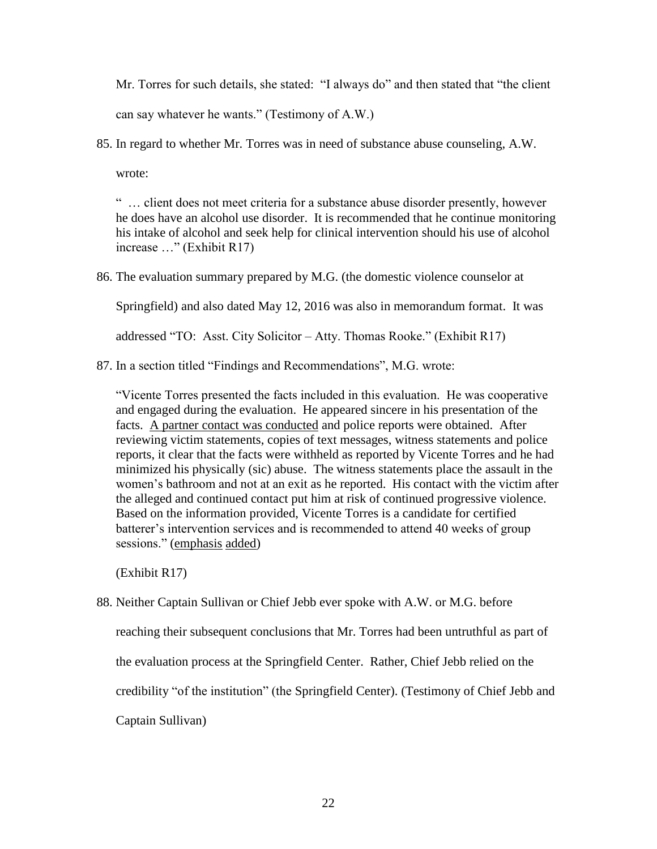Mr. Torres for such details, she stated: "I always do" and then stated that "the client can say whatever he wants." (Testimony of A.W.)

85. In regard to whether Mr. Torres was in need of substance abuse counseling, A.W.

wrote:

" … client does not meet criteria for a substance abuse disorder presently, however he does have an alcohol use disorder. It is recommended that he continue monitoring his intake of alcohol and seek help for clinical intervention should his use of alcohol increase …" (Exhibit R17)

86. The evaluation summary prepared by M.G. (the domestic violence counselor at

Springfield) and also dated May 12, 2016 was also in memorandum format. It was

addressed "TO: Asst. City Solicitor – Atty. Thomas Rooke." (Exhibit R17)

87. In a section titled "Findings and Recommendations", M.G. wrote:

"Vicente Torres presented the facts included in this evaluation. He was cooperative and engaged during the evaluation. He appeared sincere in his presentation of the facts. A partner contact was conducted and police reports were obtained. After reviewing victim statements, copies of text messages, witness statements and police reports, it clear that the facts were withheld as reported by Vicente Torres and he had minimized his physically (sic) abuse. The witness statements place the assault in the women's bathroom and not at an exit as he reported. His contact with the victim after the alleged and continued contact put him at risk of continued progressive violence. Based on the information provided, Vicente Torres is a candidate for certified batterer's intervention services and is recommended to attend 40 weeks of group sessions." (emphasis added)

(Exhibit R17)

88. Neither Captain Sullivan or Chief Jebb ever spoke with A.W. or M.G. before

reaching their subsequent conclusions that Mr. Torres had been untruthful as part of

the evaluation process at the Springfield Center. Rather, Chief Jebb relied on the

credibility "of the institution" (the Springfield Center). (Testimony of Chief Jebb and

Captain Sullivan)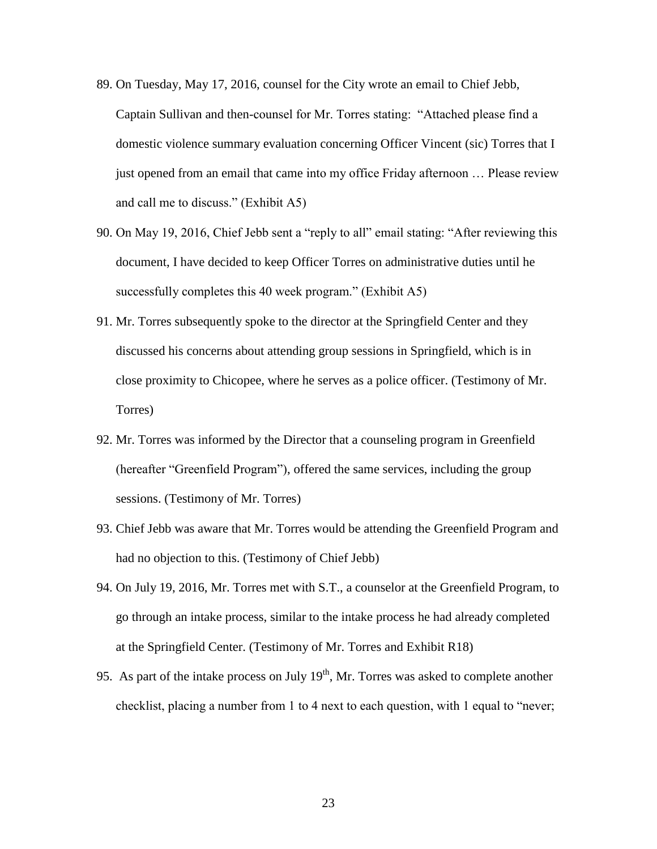- 89. On Tuesday, May 17, 2016, counsel for the City wrote an email to Chief Jebb, Captain Sullivan and then-counsel for Mr. Torres stating: "Attached please find a domestic violence summary evaluation concerning Officer Vincent (sic) Torres that I just opened from an email that came into my office Friday afternoon … Please review and call me to discuss." (Exhibit A5)
- 90. On May 19, 2016, Chief Jebb sent a "reply to all" email stating: "After reviewing this document, I have decided to keep Officer Torres on administrative duties until he successfully completes this 40 week program." (Exhibit A5)
- 91. Mr. Torres subsequently spoke to the director at the Springfield Center and they discussed his concerns about attending group sessions in Springfield, which is in close proximity to Chicopee, where he serves as a police officer. (Testimony of Mr. Torres)
- 92. Mr. Torres was informed by the Director that a counseling program in Greenfield (hereafter "Greenfield Program"), offered the same services, including the group sessions. (Testimony of Mr. Torres)
- 93. Chief Jebb was aware that Mr. Torres would be attending the Greenfield Program and had no objection to this. (Testimony of Chief Jebb)
- 94. On July 19, 2016, Mr. Torres met with S.T., a counselor at the Greenfield Program, to go through an intake process, similar to the intake process he had already completed at the Springfield Center. (Testimony of Mr. Torres and Exhibit R18)
- 95. As part of the intake process on July  $19<sup>th</sup>$ , Mr. Torres was asked to complete another checklist, placing a number from 1 to 4 next to each question, with 1 equal to "never;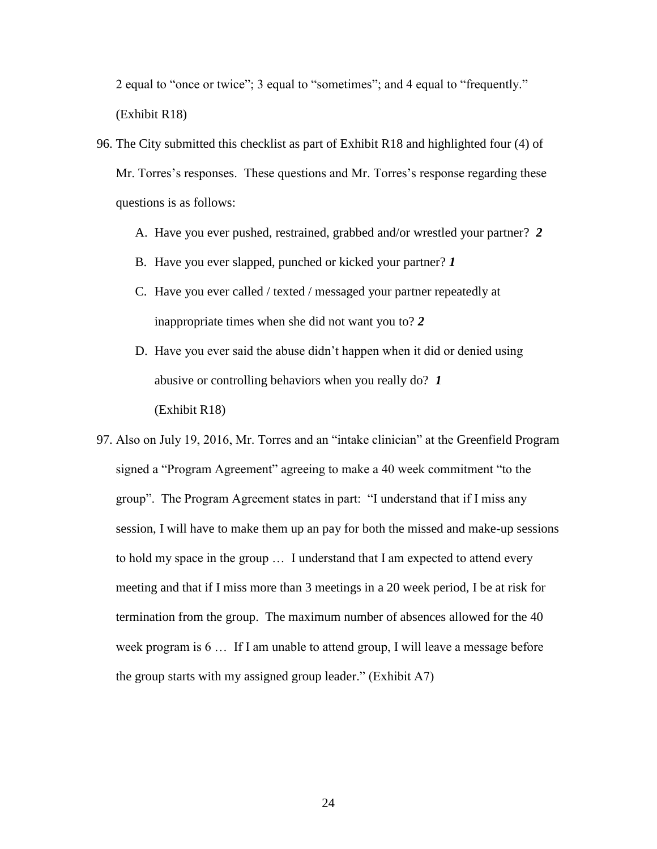2 equal to "once or twice"; 3 equal to "sometimes"; and 4 equal to "frequently." (Exhibit R18)

- 96. The City submitted this checklist as part of Exhibit R18 and highlighted four (4) of Mr. Torres's responses. These questions and Mr. Torres's response regarding these questions is as follows:
	- A. Have you ever pushed, restrained, grabbed and/or wrestled your partner? *2*
	- B. Have you ever slapped, punched or kicked your partner? *1*
	- C. Have you ever called / texted / messaged your partner repeatedly at inappropriate times when she did not want you to? *2*
	- D. Have you ever said the abuse didn't happen when it did or denied using abusive or controlling behaviors when you really do? *1* (Exhibit R18)
- 97. Also on July 19, 2016, Mr. Torres and an "intake clinician" at the Greenfield Program signed a "Program Agreement" agreeing to make a 40 week commitment "to the group". The Program Agreement states in part: "I understand that if I miss any session, I will have to make them up an pay for both the missed and make-up sessions to hold my space in the group … I understand that I am expected to attend every meeting and that if I miss more than 3 meetings in a 20 week period, I be at risk for termination from the group. The maximum number of absences allowed for the 40 week program is 6 … If I am unable to attend group, I will leave a message before the group starts with my assigned group leader." (Exhibit A7)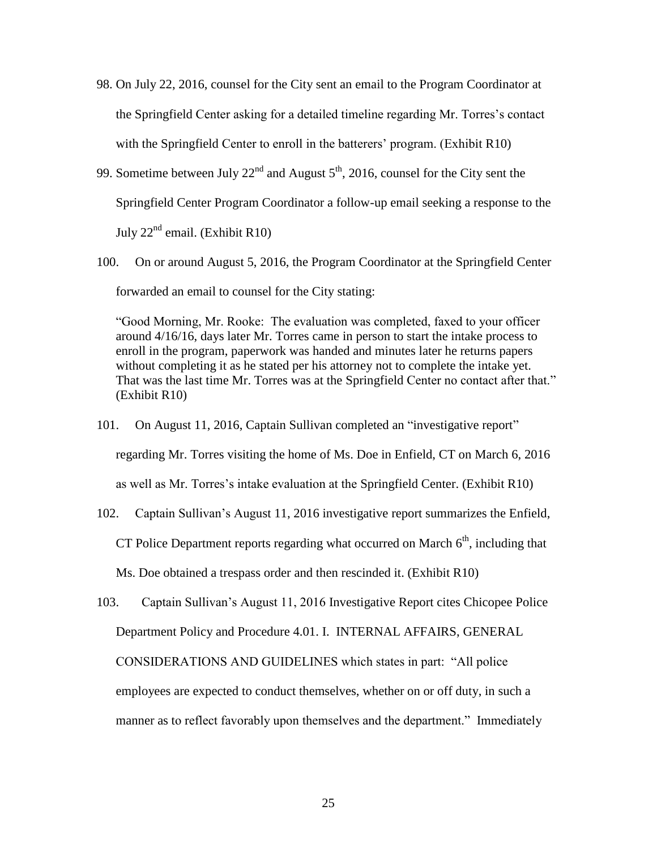- 98. On July 22, 2016, counsel for the City sent an email to the Program Coordinator at the Springfield Center asking for a detailed timeline regarding Mr. Torres's contact with the Springfield Center to enroll in the batterers' program. (Exhibit R10)
- 99. Sometime between July  $22<sup>nd</sup>$  and August  $5<sup>th</sup>$ , 2016, counsel for the City sent the Springfield Center Program Coordinator a follow-up email seeking a response to the July  $22<sup>nd</sup>$  email. (Exhibit R10)
- 100. On or around August 5, 2016, the Program Coordinator at the Springfield Center forwarded an email to counsel for the City stating:

"Good Morning, Mr. Rooke: The evaluation was completed, faxed to your officer around 4/16/16, days later Mr. Torres came in person to start the intake process to enroll in the program, paperwork was handed and minutes later he returns papers without completing it as he stated per his attorney not to complete the intake yet. That was the last time Mr. Torres was at the Springfield Center no contact after that." (Exhibit R10)

- 101. On August 11, 2016, Captain Sullivan completed an "investigative report" regarding Mr. Torres visiting the home of Ms. Doe in Enfield, CT on March 6, 2016 as well as Mr. Torres's intake evaluation at the Springfield Center. (Exhibit R10)
- 102. Captain Sullivan's August 11, 2016 investigative report summarizes the Enfield, CT Police Department reports regarding what occurred on March  $6<sup>th</sup>$ , including that Ms. Doe obtained a trespass order and then rescinded it. (Exhibit R10)
- 103. Captain Sullivan's August 11, 2016 Investigative Report cites Chicopee Police Department Policy and Procedure 4.01. I. INTERNAL AFFAIRS, GENERAL CONSIDERATIONS AND GUIDELINES which states in part: "All police employees are expected to conduct themselves, whether on or off duty, in such a manner as to reflect favorably upon themselves and the department." Immediately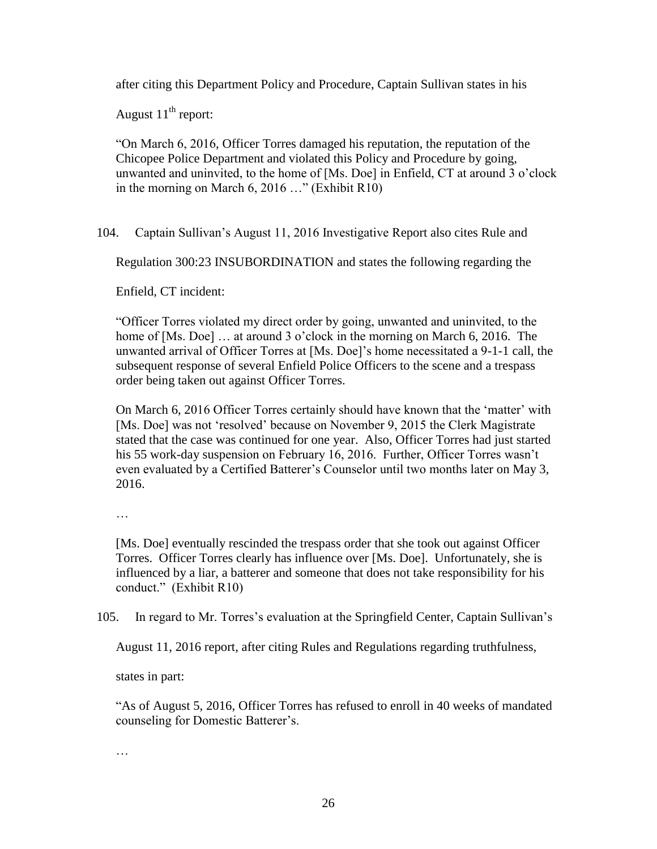after citing this Department Policy and Procedure, Captain Sullivan states in his

August  $11<sup>th</sup>$  report:

"On March 6, 2016, Officer Torres damaged his reputation, the reputation of the Chicopee Police Department and violated this Policy and Procedure by going, unwanted and uninvited, to the home of [Ms. Doe] in Enfield, CT at around 3 o'clock in the morning on March 6, 2016 …" (Exhibit R10)

104. Captain Sullivan's August 11, 2016 Investigative Report also cites Rule and

Regulation 300:23 INSUBORDINATION and states the following regarding the

Enfield, CT incident:

"Officer Torres violated my direct order by going, unwanted and uninvited, to the home of [Ms. Doe] ... at around 3 o'clock in the morning on March 6, 2016. The unwanted arrival of Officer Torres at [Ms. Doe]'s home necessitated a 9-1-1 call, the subsequent response of several Enfield Police Officers to the scene and a trespass order being taken out against Officer Torres.

On March 6, 2016 Officer Torres certainly should have known that the 'matter' with [Ms. Doe] was not 'resolved' because on November 9, 2015 the Clerk Magistrate stated that the case was continued for one year. Also, Officer Torres had just started his 55 work-day suspension on February 16, 2016. Further, Officer Torres wasn't even evaluated by a Certified Batterer's Counselor until two months later on May 3, 2016.

…

[Ms. Doe] eventually rescinded the trespass order that she took out against Officer Torres. Officer Torres clearly has influence over [Ms. Doe]. Unfortunately, she is influenced by a liar, a batterer and someone that does not take responsibility for his conduct." (Exhibit R10)

105. In regard to Mr. Torres's evaluation at the Springfield Center, Captain Sullivan's

August 11, 2016 report, after citing Rules and Regulations regarding truthfulness,

states in part:

"As of August 5, 2016, Officer Torres has refused to enroll in 40 weeks of mandated counseling for Domestic Batterer's.

…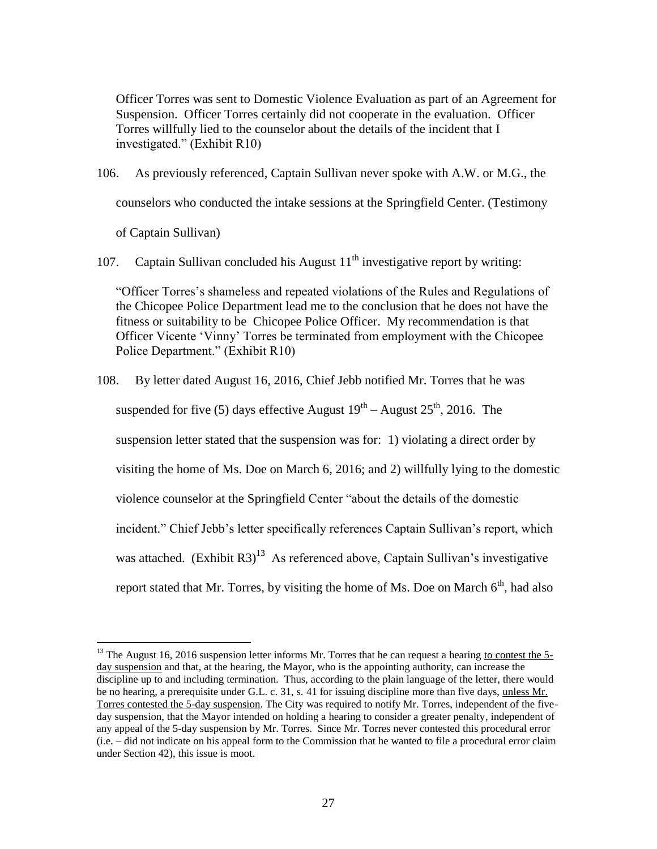Officer Torres was sent to Domestic Violence Evaluation as part of an Agreement for Suspension. Officer Torres certainly did not cooperate in the evaluation. Officer Torres willfully lied to the counselor about the details of the incident that I investigated." (Exhibit R10)

106. As previously referenced, Captain Sullivan never spoke with A.W. or M.G., the counselors who conducted the intake sessions at the Springfield Center. (Testimony

of Captain Sullivan)

 $\overline{a}$ 

107. Captain Sullivan concluded his August  $11<sup>th</sup>$  investigative report by writing:

"Officer Torres's shameless and repeated violations of the Rules and Regulations of the Chicopee Police Department lead me to the conclusion that he does not have the fitness or suitability to be Chicopee Police Officer. My recommendation is that Officer Vicente 'Vinny' Torres be terminated from employment with the Chicopee Police Department." (Exhibit R10)

108. By letter dated August 16, 2016, Chief Jebb notified Mr. Torres that he was suspended for five (5) days effective August  $19^{th}$  – August  $25^{th}$ , 2016. The suspension letter stated that the suspension was for: 1) violating a direct order by visiting the home of Ms. Doe on March 6, 2016; and 2) willfully lying to the domestic violence counselor at the Springfield Center "about the details of the domestic incident." Chief Jebb's letter specifically references Captain Sullivan's report, which was attached. (Exhibit R3)<sup>13</sup> As referenced above, Captain Sullivan's investigative report stated that Mr. Torres, by visiting the home of Ms. Doe on March  $6<sup>th</sup>$ , had also

<sup>&</sup>lt;sup>13</sup> The August 16, 2016 suspension letter informs Mr. Torres that he can request a hearing to contest the 5day suspension and that, at the hearing, the Mayor, who is the appointing authority, can increase the discipline up to and including termination. Thus, according to the plain language of the letter, there would be no hearing, a prerequisite under G.L. c. 31, s. 41 for issuing discipline more than five days, unless Mr. Torres contested the 5-day suspension. The City was required to notify Mr. Torres, independent of the fiveday suspension, that the Mayor intended on holding a hearing to consider a greater penalty, independent of any appeal of the 5-day suspension by Mr. Torres. Since Mr. Torres never contested this procedural error (i.e. – did not indicate on his appeal form to the Commission that he wanted to file a procedural error claim under Section 42), this issue is moot.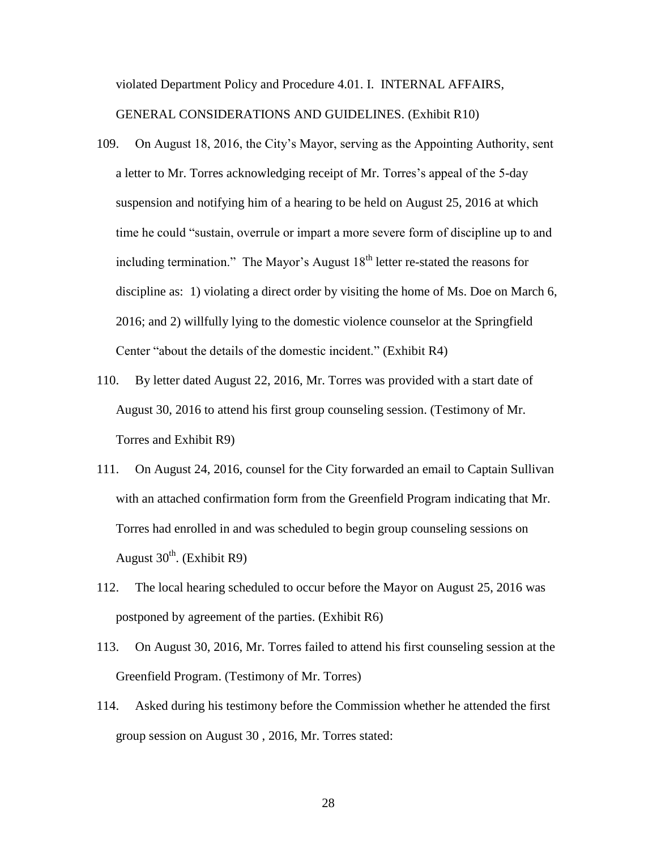violated Department Policy and Procedure 4.01. I. INTERNAL AFFAIRS,

GENERAL CONSIDERATIONS AND GUIDELINES. (Exhibit R10)

- 109. On August 18, 2016, the City's Mayor, serving as the Appointing Authority, sent a letter to Mr. Torres acknowledging receipt of Mr. Torres's appeal of the 5-day suspension and notifying him of a hearing to be held on August 25, 2016 at which time he could "sustain, overrule or impart a more severe form of discipline up to and including termination." The Mayor's August  $18<sup>th</sup>$  letter re-stated the reasons for discipline as: 1) violating a direct order by visiting the home of Ms. Doe on March 6, 2016; and 2) willfully lying to the domestic violence counselor at the Springfield Center "about the details of the domestic incident." (Exhibit R4)
- 110. By letter dated August 22, 2016, Mr. Torres was provided with a start date of August 30, 2016 to attend his first group counseling session. (Testimony of Mr. Torres and Exhibit R9)
- 111. On August 24, 2016, counsel for the City forwarded an email to Captain Sullivan with an attached confirmation form from the Greenfield Program indicating that Mr. Torres had enrolled in and was scheduled to begin group counseling sessions on August  $30^{th}$ . (Exhibit R9)
- 112. The local hearing scheduled to occur before the Mayor on August 25, 2016 was postponed by agreement of the parties. (Exhibit R6)
- 113. On August 30, 2016, Mr. Torres failed to attend his first counseling session at the Greenfield Program. (Testimony of Mr. Torres)
- 114. Asked during his testimony before the Commission whether he attended the first group session on August 30 , 2016, Mr. Torres stated: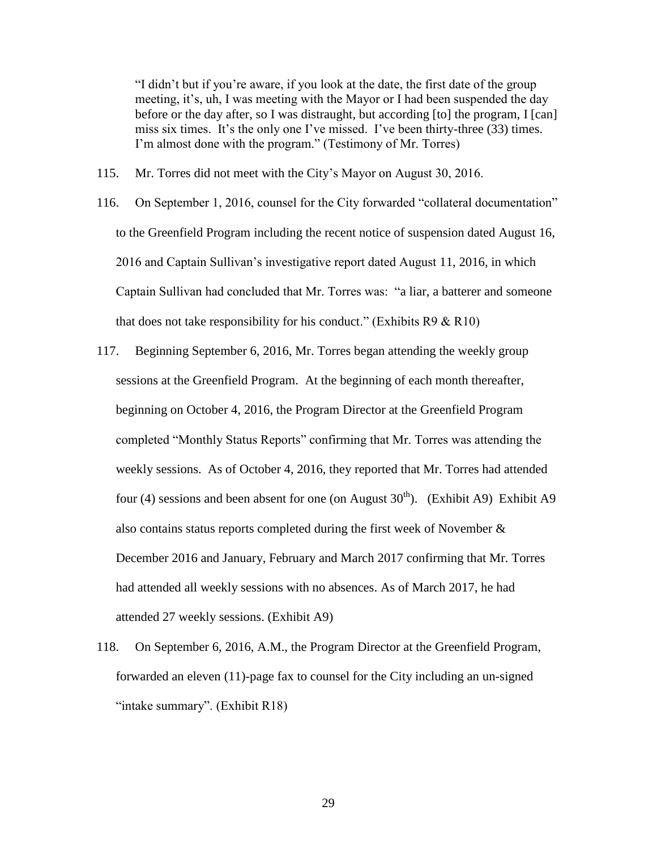"I didn't but if you're aware, if you look at the date, the first date of the group meeting, it's, uh, I was meeting with the Mayor or I had been suspended the day before or the day after, so I was distraught, but according [to] the program, I [can] miss six times. It's the only one I've missed. I've been thirty-three (33) times. I'm almost done with the program." (Testimony of Mr. Torres)

- 115. Mr. Torres did not meet with the City's Mayor on August 30, 2016.
- 116. On September 1, 2016, counsel for the City forwarded "collateral documentation" to the Greenfield Program including the recent notice of suspension dated August 16, 2016 and Captain Sullivan's investigative report dated August 11, 2016, in which Captain Sullivan had concluded that Mr. Torres was: "a liar, a batterer and someone that does not take responsibility for his conduct." (Exhibits  $R9 & R10$ )
- 117. Beginning September 6, 2016, Mr. Torres began attending the weekly group sessions at the Greenfield Program. At the beginning of each month thereafter, beginning on October 4, 2016, the Program Director at the Greenfield Program completed "Monthly Status Reports" confirming that Mr. Torres was attending the weekly sessions. As of October 4, 2016, they reported that Mr. Torres had attended four (4) sessions and been absent for one (on August  $30<sup>th</sup>$ ). (Exhibit A9) Exhibit A9 also contains status reports completed during the first week of November & December 2016 and January, February and March 2017 confirming that Mr. Torres had attended all weekly sessions with no absences. As of March 2017, he had attended 27 weekly sessions. (Exhibit A9)
- 118. On September 6, 2016, A.M., the Program Director at the Greenfield Program, forwarded an eleven (11)-page fax to counsel for the City including an un-signed "intake summary". (Exhibit R18)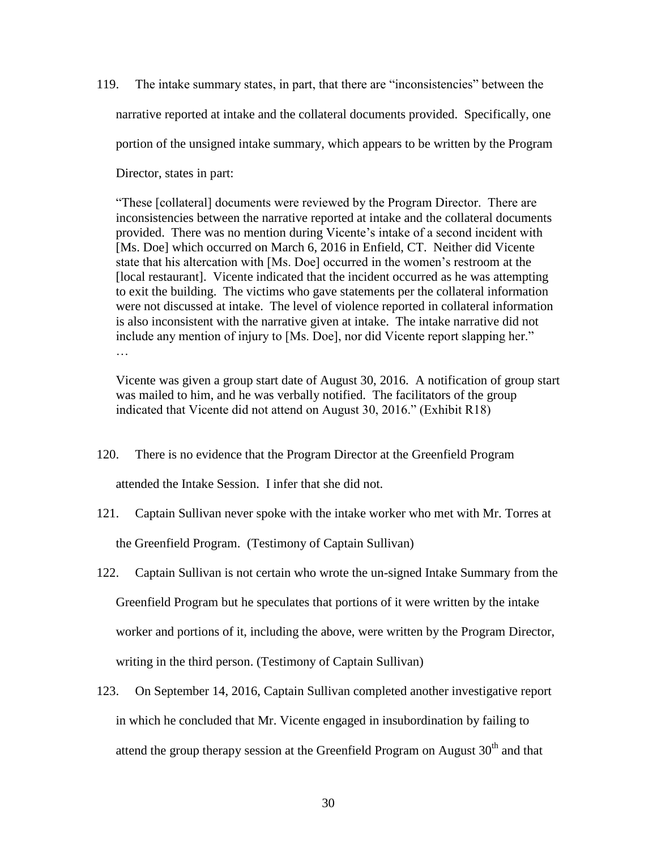119. The intake summary states, in part, that there are "inconsistencies" between the narrative reported at intake and the collateral documents provided. Specifically, one portion of the unsigned intake summary, which appears to be written by the Program Director, states in part:

"These [collateral] documents were reviewed by the Program Director. There are inconsistencies between the narrative reported at intake and the collateral documents provided. There was no mention during Vicente's intake of a second incident with [Ms. Doe] which occurred on March 6, 2016 in Enfield, CT. Neither did Vicente state that his altercation with [Ms. Doe] occurred in the women's restroom at the [local restaurant]. Vicente indicated that the incident occurred as he was attempting to exit the building. The victims who gave statements per the collateral information were not discussed at intake. The level of violence reported in collateral information is also inconsistent with the narrative given at intake. The intake narrative did not include any mention of injury to [Ms. Doe], nor did Vicente report slapping her." …

Vicente was given a group start date of August 30, 2016. A notification of group start was mailed to him, and he was verbally notified. The facilitators of the group indicated that Vicente did not attend on August 30, 2016." (Exhibit R18)

- 120. There is no evidence that the Program Director at the Greenfield Program attended the Intake Session. I infer that she did not.
- 121. Captain Sullivan never spoke with the intake worker who met with Mr. Torres at the Greenfield Program. (Testimony of Captain Sullivan)
- 122. Captain Sullivan is not certain who wrote the un-signed Intake Summary from the Greenfield Program but he speculates that portions of it were written by the intake worker and portions of it, including the above, were written by the Program Director, writing in the third person. (Testimony of Captain Sullivan)
- 123. On September 14, 2016, Captain Sullivan completed another investigative report in which he concluded that Mr. Vicente engaged in insubordination by failing to attend the group therapy session at the Greenfield Program on August  $30<sup>th</sup>$  and that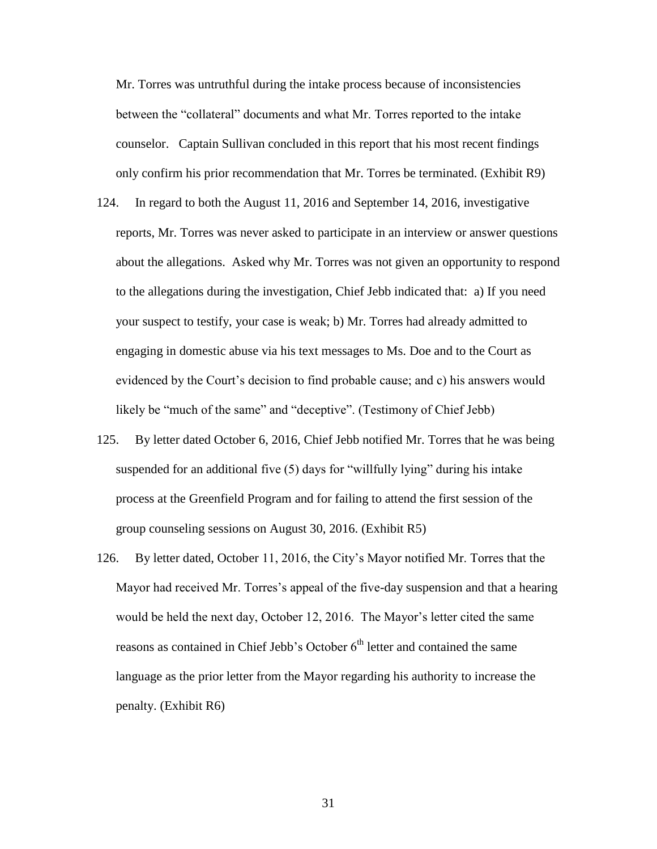Mr. Torres was untruthful during the intake process because of inconsistencies between the "collateral" documents and what Mr. Torres reported to the intake counselor. Captain Sullivan concluded in this report that his most recent findings only confirm his prior recommendation that Mr. Torres be terminated. (Exhibit R9)

- 124. In regard to both the August 11, 2016 and September 14, 2016, investigative reports, Mr. Torres was never asked to participate in an interview or answer questions about the allegations. Asked why Mr. Torres was not given an opportunity to respond to the allegations during the investigation, Chief Jebb indicated that: a) If you need your suspect to testify, your case is weak; b) Mr. Torres had already admitted to engaging in domestic abuse via his text messages to Ms. Doe and to the Court as evidenced by the Court's decision to find probable cause; and c) his answers would likely be "much of the same" and "deceptive". (Testimony of Chief Jebb)
- 125. By letter dated October 6, 2016, Chief Jebb notified Mr. Torres that he was being suspended for an additional five (5) days for "willfully lying" during his intake process at the Greenfield Program and for failing to attend the first session of the group counseling sessions on August 30, 2016. (Exhibit R5)
- 126. By letter dated, October 11, 2016, the City's Mayor notified Mr. Torres that the Mayor had received Mr. Torres's appeal of the five-day suspension and that a hearing would be held the next day, October 12, 2016. The Mayor's letter cited the same reasons as contained in Chief Jebb's October 6<sup>th</sup> letter and contained the same language as the prior letter from the Mayor regarding his authority to increase the penalty. (Exhibit R6)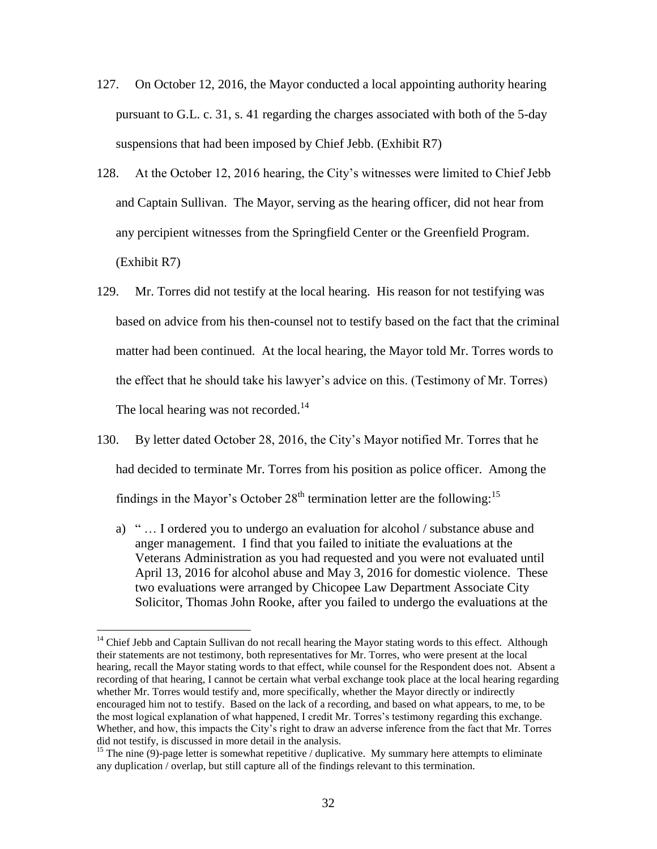- 127. On October 12, 2016, the Mayor conducted a local appointing authority hearing pursuant to G.L. c. 31, s. 41 regarding the charges associated with both of the 5-day suspensions that had been imposed by Chief Jebb. (Exhibit R7)
- 128. At the October 12, 2016 hearing, the City's witnesses were limited to Chief Jebb and Captain Sullivan. The Mayor, serving as the hearing officer, did not hear from any percipient witnesses from the Springfield Center or the Greenfield Program. (Exhibit R7)
- 129. Mr. Torres did not testify at the local hearing. His reason for not testifying was based on advice from his then-counsel not to testify based on the fact that the criminal matter had been continued. At the local hearing, the Mayor told Mr. Torres words to the effect that he should take his lawyer's advice on this. (Testimony of Mr. Torres) The local hearing was not recorded.<sup>14</sup>
- 130. By letter dated October 28, 2016, the City's Mayor notified Mr. Torres that he had decided to terminate Mr. Torres from his position as police officer. Among the findings in the Mayor's October  $28<sup>th</sup>$  termination letter are the following:<sup>15</sup>
	- a) " … I ordered you to undergo an evaluation for alcohol / substance abuse and anger management. I find that you failed to initiate the evaluations at the Veterans Administration as you had requested and you were not evaluated until April 13, 2016 for alcohol abuse and May 3, 2016 for domestic violence. These two evaluations were arranged by Chicopee Law Department Associate City Solicitor, Thomas John Rooke, after you failed to undergo the evaluations at the

 $\overline{a}$ 

<sup>&</sup>lt;sup>14</sup> Chief Jebb and Captain Sullivan do not recall hearing the Mayor stating words to this effect. Although their statements are not testimony, both representatives for Mr. Torres, who were present at the local hearing, recall the Mayor stating words to that effect, while counsel for the Respondent does not. Absent a recording of that hearing, I cannot be certain what verbal exchange took place at the local hearing regarding whether Mr. Torres would testify and, more specifically, whether the Mayor directly or indirectly encouraged him not to testify. Based on the lack of a recording, and based on what appears, to me, to be the most logical explanation of what happened, I credit Mr. Torres's testimony regarding this exchange. Whether, and how, this impacts the City's right to draw an adverse inference from the fact that Mr. Torres did not testify, is discussed in more detail in the analysis.

<sup>&</sup>lt;sup>15</sup> The nine (9)-page letter is somewhat repetitive / duplicative. My summary here attempts to eliminate any duplication / overlap, but still capture all of the findings relevant to this termination.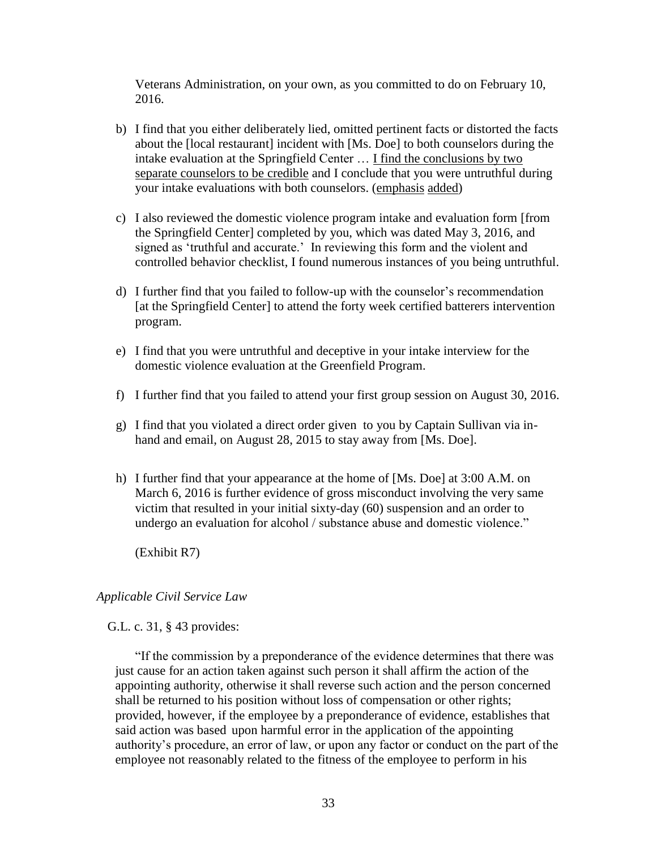Veterans Administration, on your own, as you committed to do on February 10, 2016.

- b) I find that you either deliberately lied, omitted pertinent facts or distorted the facts about the [local restaurant] incident with [Ms. Doe] to both counselors during the intake evaluation at the Springfield Center … I find the conclusions by two separate counselors to be credible and I conclude that you were untruthful during your intake evaluations with both counselors. (emphasis added)
- c) I also reviewed the domestic violence program intake and evaluation form [from the Springfield Center] completed by you, which was dated May 3, 2016, and signed as 'truthful and accurate.' In reviewing this form and the violent and controlled behavior checklist, I found numerous instances of you being untruthful.
- d) I further find that you failed to follow-up with the counselor's recommendation [at the Springfield Center] to attend the forty week certified batterers intervention program.
- e) I find that you were untruthful and deceptive in your intake interview for the domestic violence evaluation at the Greenfield Program.
- f) I further find that you failed to attend your first group session on August 30, 2016.
- g) I find that you violated a direct order given to you by Captain Sullivan via inhand and email, on August 28, 2015 to stay away from [Ms. Doe].
- h) I further find that your appearance at the home of [Ms. Doe] at 3:00 A.M. on March 6, 2016 is further evidence of gross misconduct involving the very same victim that resulted in your initial sixty-day (60) suspension and an order to undergo an evaluation for alcohol / substance abuse and domestic violence."

(Exhibit R7)

# *Applicable Civil Service Law*

G.L. c. 31, § 43 provides:

"If the commission by a preponderance of the evidence determines that there was just cause for an action taken against such person it shall affirm the action of the appointing authority, otherwise it shall reverse such action and the person concerned shall be returned to his position without loss of compensation or other rights; provided, however, if the employee by a preponderance of evidence, establishes that said action was based upon harmful error in the application of the appointing authority's procedure, an error of law, or upon any factor or conduct on the part of the employee not reasonably related to the fitness of the employee to perform in his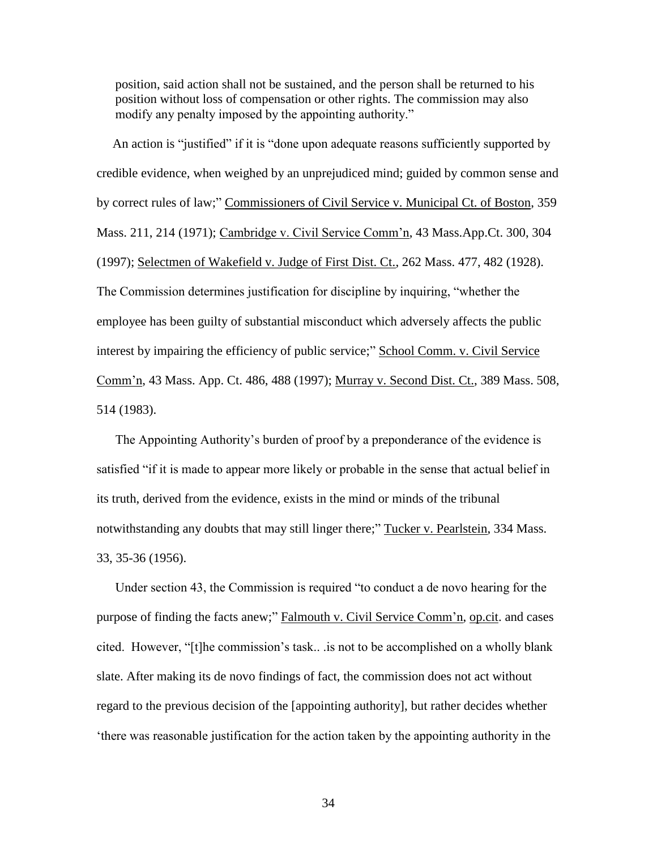position, said action shall not be sustained, and the person shall be returned to his position without loss of compensation or other rights. The commission may also modify any penalty imposed by the appointing authority."

 An action is "justified" if it is "done upon adequate reasons sufficiently supported by credible evidence, when weighed by an unprejudiced mind; guided by common sense and by correct rules of law;" Commissioners of Civil Service v. Municipal Ct. of Boston, 359 Mass. 211, 214 (1971); Cambridge v. Civil Service Comm'n, 43 Mass.App.Ct. 300, 304 (1997); Selectmen of Wakefield v. Judge of First Dist. Ct., 262 Mass. 477, 482 (1928). The Commission determines justification for discipline by inquiring, "whether the employee has been guilty of substantial misconduct which adversely affects the public interest by impairing the efficiency of public service;" School Comm. v. Civil Service Comm'n, 43 Mass. App. Ct. 486, 488 (1997); Murray v. Second Dist. Ct., 389 Mass. 508, 514 (1983).

The Appointing Authority's burden of proof by a preponderance of the evidence is satisfied "if it is made to appear more likely or probable in the sense that actual belief in its truth, derived from the evidence, exists in the mind or minds of the tribunal notwithstanding any doubts that may still linger there;" Tucker v. Pearlstein, 334 Mass. 33, 35-36 (1956).

Under section 43, the Commission is required "to conduct a de novo hearing for the purpose of finding the facts anew;" Falmouth v. Civil Service Comm'n, op.cit. and cases cited. However, "[t]he commission's task.. .is not to be accomplished on a wholly blank slate. After making its de novo findings of fact, the commission does not act without regard to the previous decision of the [appointing authority], but rather decides whether 'there was reasonable justification for the action taken by the appointing authority in the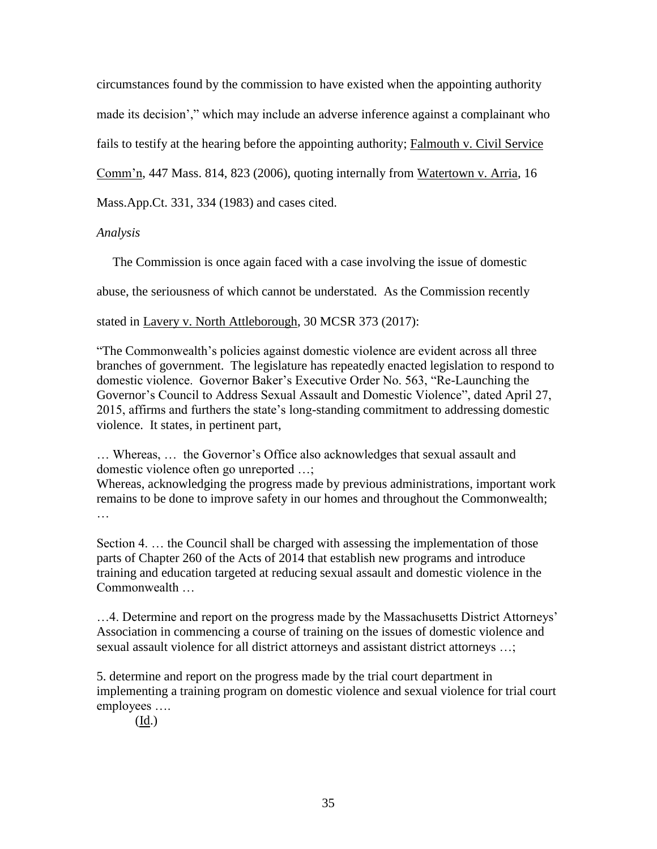circumstances found by the commission to have existed when the appointing authority made its decision'," which may include an adverse inference against a complainant who fails to testify at the hearing before the appointing authority; Falmouth v. Civil Service

Comm'n, 447 Mass. 814, 823 (2006), quoting internally from Watertown v. Arria, 16

Mass.App.Ct. 331, 334 (1983) and cases cited.

*Analysis*

The Commission is once again faced with a case involving the issue of domestic

abuse, the seriousness of which cannot be understated. As the Commission recently

stated in Lavery v. North Attleborough, 30 MCSR 373 (2017):

"The Commonwealth's policies against domestic violence are evident across all three branches of government. The legislature has repeatedly enacted legislation to respond to domestic violence. Governor Baker's Executive Order No. 563, "Re-Launching the Governor's Council to Address Sexual Assault and Domestic Violence", dated April 27, 2015, affirms and furthers the state's long-standing commitment to addressing domestic violence. It states, in pertinent part,

… Whereas, … the Governor's Office also acknowledges that sexual assault and domestic violence often go unreported …;

Whereas, acknowledging the progress made by previous administrations, important work remains to be done to improve safety in our homes and throughout the Commonwealth; …

Section 4. … the Council shall be charged with assessing the implementation of those parts of Chapter 260 of the Acts of 2014 that establish new programs and introduce training and education targeted at reducing sexual assault and domestic violence in the Commonwealth …

…4. Determine and report on the progress made by the Massachusetts District Attorneys' Association in commencing a course of training on the issues of domestic violence and sexual assault violence for all district attorneys and assistant district attorneys …;

5. determine and report on the progress made by the trial court department in implementing a training program on domestic violence and sexual violence for trial court employees ….

(Id.)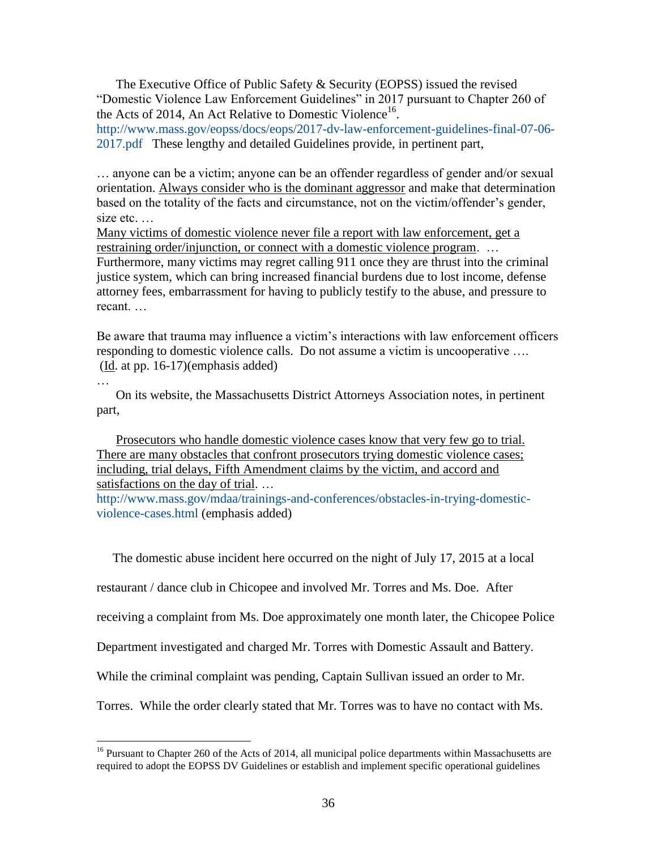The Executive Office of Public Safety & Security (EOPSS) issued the revised "Domestic Violence Law Enforcement Guidelines" in 2017 pursuant to Chapter 260 of the Acts of 2014, An Act Relative to Domestic Violence<sup>16</sup>.

[http://www.mass.gov/eopss/docs/eops/2017-dv-law-enforcement-guidelines-final-07-06-](http://www.mass.gov/eopss/docs/eops/2017-dv-law-enforcement-guidelines-final-07-06-2017.pdf) [2017.pdf](http://www.mass.gov/eopss/docs/eops/2017-dv-law-enforcement-guidelines-final-07-06-2017.pdf) These lengthy and detailed Guidelines provide, in pertinent part,

… anyone can be a victim; anyone can be an offender regardless of gender and/or sexual orientation. Always consider who is the dominant aggressor and make that determination based on the totality of the facts and circumstance, not on the victim/offender's gender, size etc. …

Many victims of domestic violence never file a report with law enforcement, get a restraining order/injunction, or connect with a domestic violence program. ...

Furthermore, many victims may regret calling 911 once they are thrust into the criminal justice system, which can bring increased financial burdens due to lost income, defense attorney fees, embarrassment for having to publicly testify to the abuse, and pressure to recant. …

Be aware that trauma may influence a victim's interactions with law enforcement officers responding to domestic violence calls. Do not assume a victim is uncooperative ….  $(\underline{Id}$ . at pp. 16-17)(emphasis added)

On its website, the Massachusetts District Attorneys Association notes, in pertinent part,

…

 $\overline{a}$ 

Prosecutors who handle domestic violence cases know that very few go to trial. There are many obstacles that confront prosecutors trying domestic violence cases; including, trial delays, Fifth Amendment claims by the victim, and accord and satisfactions on the day of trial. …

[http://www.mass.gov/mdaa/trainings-and-conferences/obstacles-in-trying-domestic](http://www.mass.gov/mdaa/trainings-and-conferences/obstacles-in-trying-domestic-violence-cases.html)[violence-cases.html](http://www.mass.gov/mdaa/trainings-and-conferences/obstacles-in-trying-domestic-violence-cases.html) (emphasis added)

The domestic abuse incident here occurred on the night of July 17, 2015 at a local

restaurant / dance club in Chicopee and involved Mr. Torres and Ms. Doe. After

receiving a complaint from Ms. Doe approximately one month later, the Chicopee Police

Department investigated and charged Mr. Torres with Domestic Assault and Battery.

While the criminal complaint was pending, Captain Sullivan issued an order to Mr.

Torres. While the order clearly stated that Mr. Torres was to have no contact with Ms.

 $16$  Pursuant to Chapter 260 of the Acts of 2014, all municipal police departments within Massachusetts are required to adopt the EOPSS DV Guidelines or establish and implement specific operational guidelines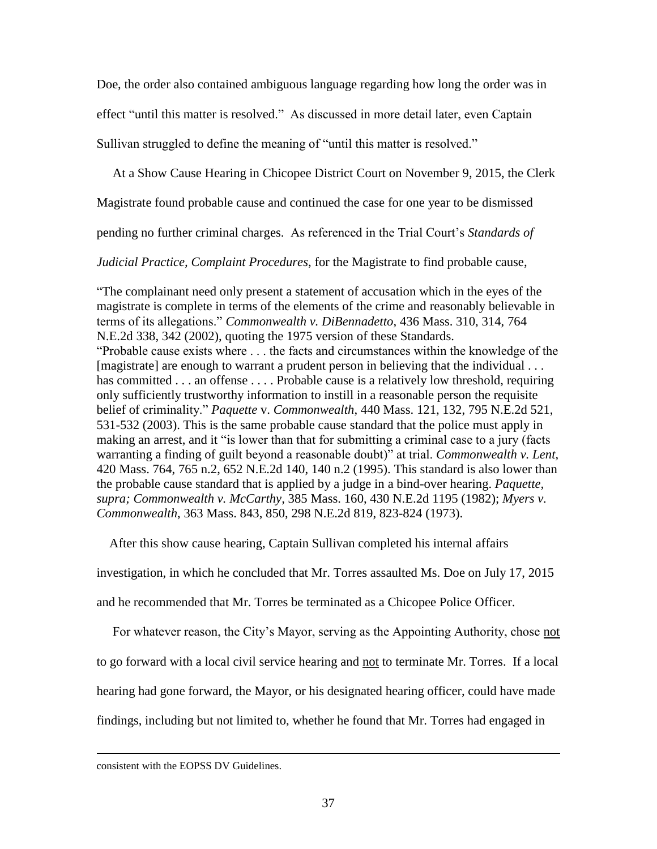Doe, the order also contained ambiguous language regarding how long the order was in effect "until this matter is resolved." As discussed in more detail later, even Captain Sullivan struggled to define the meaning of "until this matter is resolved."

At a Show Cause Hearing in Chicopee District Court on November 9, 2015, the Clerk

Magistrate found probable cause and continued the case for one year to be dismissed

pending no further criminal charges. As referenced in the Trial Court's *Standards of* 

*Judicial Practice, Complaint Procedures*, for the Magistrate to find probable cause,

"The complainant need only present a statement of accusation which in the eyes of the magistrate is complete in terms of the elements of the crime and reasonably believable in terms of its allegations." *Commonwealth v. DiBennadetto*, 436 Mass. 310, 314, 764 N.E.2d 338, 342 (2002), quoting the 1975 version of these Standards. "Probable cause exists where . . . the facts and circumstances within the knowledge of the [magistrate] are enough to warrant a prudent person in believing that the individual . . . has committed . . . an offense . . . . Probable cause is a relatively low threshold, requiring only sufficiently trustworthy information to instill in a reasonable person the requisite belief of criminality." *Paquette* v. *Commonwealth*, 440 Mass. 121, 132, 795 N.E.2d 521, 531-532 (2003). This is the same probable cause standard that the police must apply in making an arrest, and it "is lower than that for submitting a criminal case to a jury (facts warranting a finding of guilt beyond a reasonable doubt)" at trial. *Commonwealth v. Lent*, 420 Mass. 764, 765 n.2, 652 N.E.2d 140, 140 n.2 (1995). This standard is also lower than the probable cause standard that is applied by a judge in a bind-over hearing. *Paquette, supra; Commonwealth v. McCarthy,* 385 Mass. 160, 430 N.E.2d 1195 (1982); *Myers v. Commonwealth*, 363 Mass. 843, 850, 298 N.E.2d 819, 823-824 (1973).

After this show cause hearing, Captain Sullivan completed his internal affairs

investigation, in which he concluded that Mr. Torres assaulted Ms. Doe on July 17, 2015

and he recommended that Mr. Torres be terminated as a Chicopee Police Officer.

For whatever reason, the City's Mayor, serving as the Appointing Authority, chose not

to go forward with a local civil service hearing and not to terminate Mr. Torres. If a local

hearing had gone forward, the Mayor, or his designated hearing officer, could have made

findings, including but not limited to, whether he found that Mr. Torres had engaged in

 $\overline{a}$ 

consistent with the EOPSS DV Guidelines.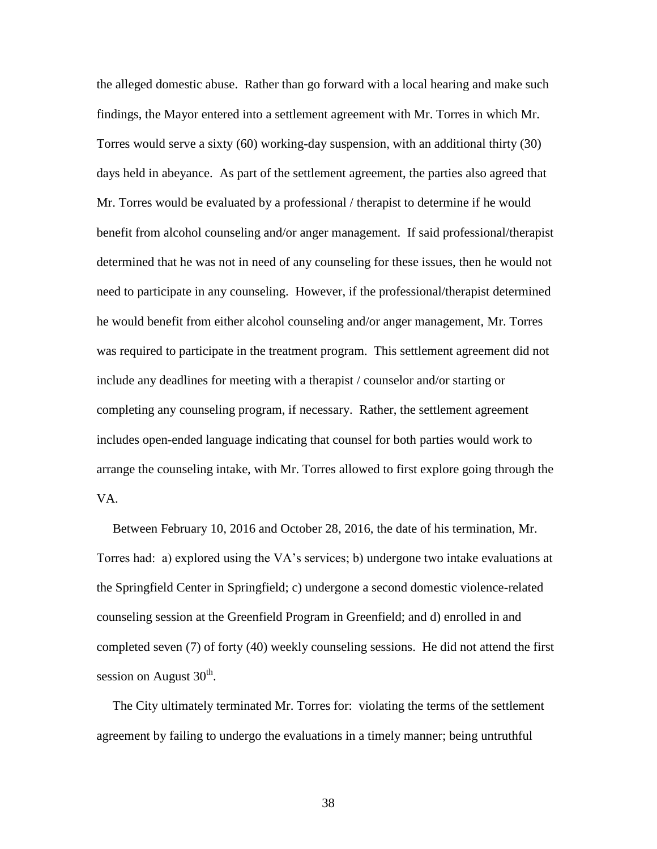the alleged domestic abuse. Rather than go forward with a local hearing and make such findings, the Mayor entered into a settlement agreement with Mr. Torres in which Mr. Torres would serve a sixty (60) working-day suspension, with an additional thirty (30) days held in abeyance. As part of the settlement agreement, the parties also agreed that Mr. Torres would be evaluated by a professional / therapist to determine if he would benefit from alcohol counseling and/or anger management. If said professional/therapist determined that he was not in need of any counseling for these issues, then he would not need to participate in any counseling. However, if the professional/therapist determined he would benefit from either alcohol counseling and/or anger management, Mr. Torres was required to participate in the treatment program. This settlement agreement did not include any deadlines for meeting with a therapist / counselor and/or starting or completing any counseling program, if necessary. Rather, the settlement agreement includes open-ended language indicating that counsel for both parties would work to arrange the counseling intake, with Mr. Torres allowed to first explore going through the VA.

 Between February 10, 2016 and October 28, 2016, the date of his termination, Mr. Torres had: a) explored using the VA's services; b) undergone two intake evaluations at the Springfield Center in Springfield; c) undergone a second domestic violence-related counseling session at the Greenfield Program in Greenfield; and d) enrolled in and completed seven (7) of forty (40) weekly counseling sessions. He did not attend the first session on August  $30<sup>th</sup>$ .

 The City ultimately terminated Mr. Torres for: violating the terms of the settlement agreement by failing to undergo the evaluations in a timely manner; being untruthful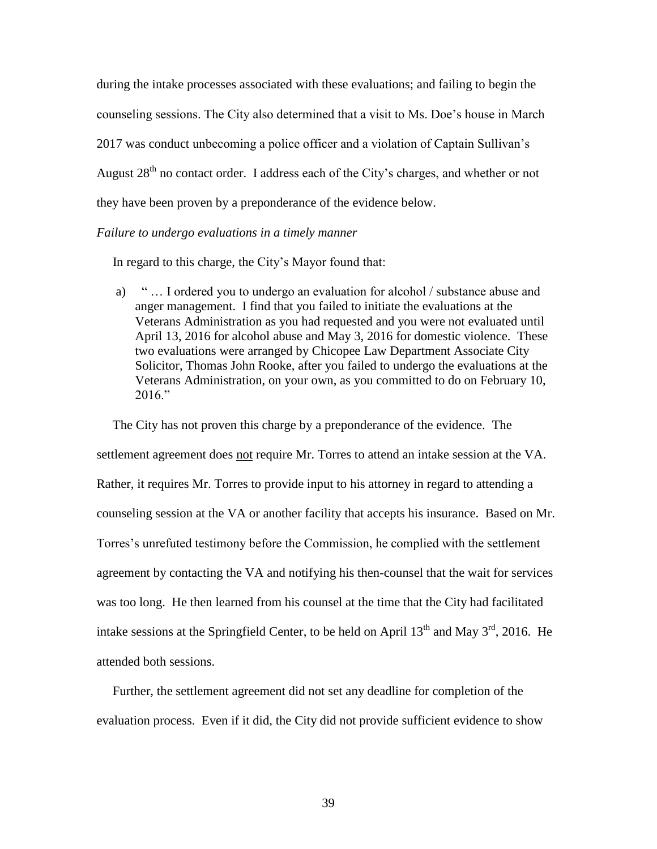during the intake processes associated with these evaluations; and failing to begin the counseling sessions. The City also determined that a visit to Ms. Doe's house in March 2017 was conduct unbecoming a police officer and a violation of Captain Sullivan's August 28<sup>th</sup> no contact order. I address each of the City's charges, and whether or not they have been proven by a preponderance of the evidence below.

## *Failure to undergo evaluations in a timely manner*

In regard to this charge, the City's Mayor found that:

a) " … I ordered you to undergo an evaluation for alcohol / substance abuse and anger management. I find that you failed to initiate the evaluations at the Veterans Administration as you had requested and you were not evaluated until April 13, 2016 for alcohol abuse and May 3, 2016 for domestic violence. These two evaluations were arranged by Chicopee Law Department Associate City Solicitor, Thomas John Rooke, after you failed to undergo the evaluations at the Veterans Administration, on your own, as you committed to do on February 10, 2016."

 The City has not proven this charge by a preponderance of the evidence. The settlement agreement does not require Mr. Torres to attend an intake session at the VA. Rather, it requires Mr. Torres to provide input to his attorney in regard to attending a counseling session at the VA or another facility that accepts his insurance. Based on Mr. Torres's unrefuted testimony before the Commission, he complied with the settlement agreement by contacting the VA and notifying his then-counsel that the wait for services was too long. He then learned from his counsel at the time that the City had facilitated intake sessions at the Springfield Center, to be held on April  $13<sup>th</sup>$  and May  $3<sup>rd</sup>$ , 2016. He attended both sessions.

 Further, the settlement agreement did not set any deadline for completion of the evaluation process. Even if it did, the City did not provide sufficient evidence to show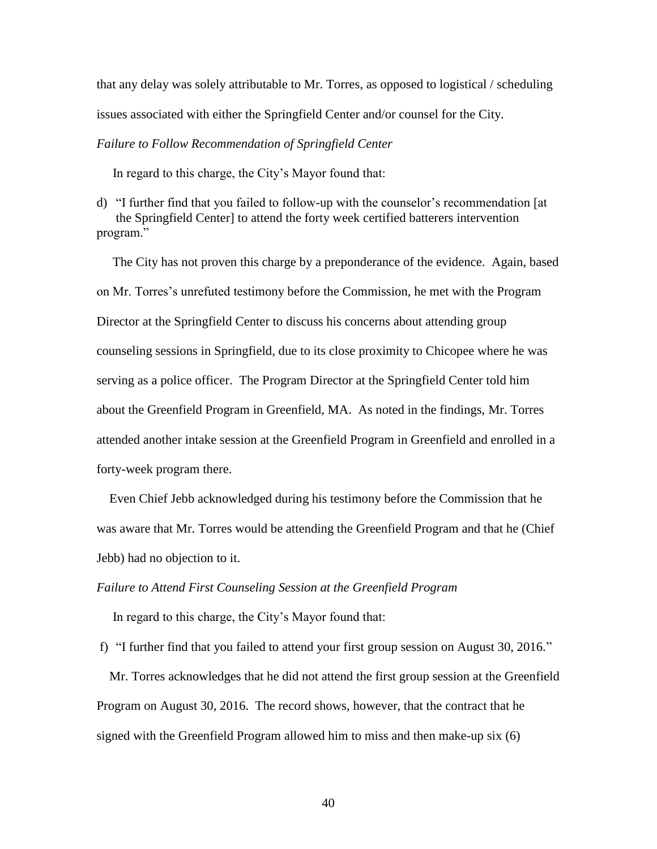that any delay was solely attributable to Mr. Torres, as opposed to logistical / scheduling issues associated with either the Springfield Center and/or counsel for the City.

#### *Failure to Follow Recommendation of Springfield Center*

In regard to this charge, the City's Mayor found that:

d) "I further find that you failed to follow-up with the counselor's recommendation [at the Springfield Center] to attend the forty week certified batterers intervention program."

 The City has not proven this charge by a preponderance of the evidence. Again, based on Mr. Torres's unrefuted testimony before the Commission, he met with the Program Director at the Springfield Center to discuss his concerns about attending group counseling sessions in Springfield, due to its close proximity to Chicopee where he was serving as a police officer. The Program Director at the Springfield Center told him about the Greenfield Program in Greenfield, MA. As noted in the findings, Mr. Torres attended another intake session at the Greenfield Program in Greenfield and enrolled in a forty-week program there.

 Even Chief Jebb acknowledged during his testimony before the Commission that he was aware that Mr. Torres would be attending the Greenfield Program and that he (Chief Jebb) had no objection to it.

#### *Failure to Attend First Counseling Session at the Greenfield Program*

In regard to this charge, the City's Mayor found that:

f) "I further find that you failed to attend your first group session on August 30, 2016."

 Mr. Torres acknowledges that he did not attend the first group session at the Greenfield Program on August 30, 2016. The record shows, however, that the contract that he signed with the Greenfield Program allowed him to miss and then make-up six (6)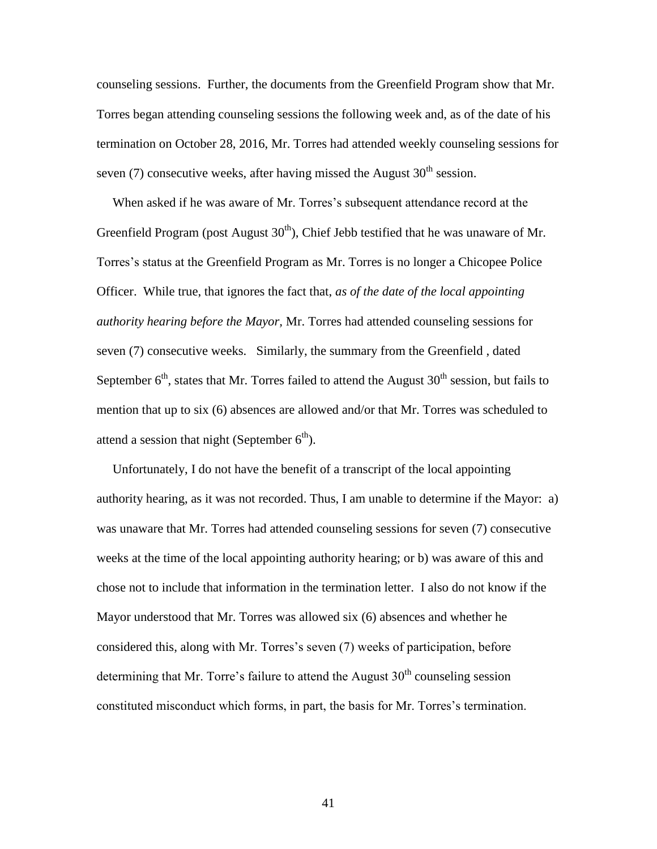counseling sessions. Further, the documents from the Greenfield Program show that Mr. Torres began attending counseling sessions the following week and, as of the date of his termination on October 28, 2016, Mr. Torres had attended weekly counseling sessions for seven  $(7)$  consecutive weeks, after having missed the August  $30<sup>th</sup>$  session.

 When asked if he was aware of Mr. Torres's subsequent attendance record at the Greenfield Program (post August  $30<sup>th</sup>$ ), Chief Jebb testified that he was unaware of Mr. Torres's status at the Greenfield Program as Mr. Torres is no longer a Chicopee Police Officer. While true, that ignores the fact that, *as of the date of the local appointing authority hearing before the Mayor,* Mr. Torres had attended counseling sessions for seven (7) consecutive weeks. Similarly, the summary from the Greenfield , dated September  $6<sup>th</sup>$ , states that Mr. Torres failed to attend the August 30<sup>th</sup> session, but fails to mention that up to six (6) absences are allowed and/or that Mr. Torres was scheduled to attend a session that night (September  $6<sup>th</sup>$ ).

 Unfortunately, I do not have the benefit of a transcript of the local appointing authority hearing, as it was not recorded. Thus, I am unable to determine if the Mayor: a) was unaware that Mr. Torres had attended counseling sessions for seven (7) consecutive weeks at the time of the local appointing authority hearing; or b) was aware of this and chose not to include that information in the termination letter. I also do not know if the Mayor understood that Mr. Torres was allowed six (6) absences and whether he considered this, along with Mr. Torres's seven (7) weeks of participation, before determining that Mr. Torre's failure to attend the August  $30<sup>th</sup>$  counseling session constituted misconduct which forms, in part, the basis for Mr. Torres's termination.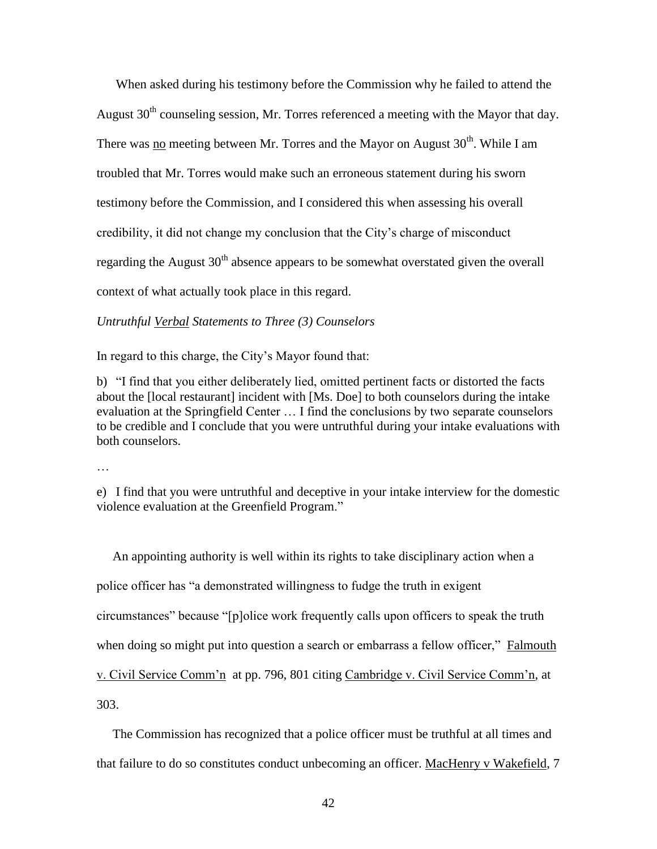When asked during his testimony before the Commission why he failed to attend the August  $30<sup>th</sup>$  counseling session, Mr. Torres referenced a meeting with the Mayor that day. There was no meeting between Mr. Torres and the Mayor on August  $30<sup>th</sup>$ . While I am troubled that Mr. Torres would make such an erroneous statement during his sworn testimony before the Commission, and I considered this when assessing his overall credibility, it did not change my conclusion that the City's charge of misconduct regarding the August  $30<sup>th</sup>$  absence appears to be somewhat overstated given the overall context of what actually took place in this regard.

*Untruthful Verbal Statements to Three (3) Counselors*

In regard to this charge, the City's Mayor found that:

b) "I find that you either deliberately lied, omitted pertinent facts or distorted the facts about the [local restaurant] incident with [Ms. Doe] to both counselors during the intake evaluation at the Springfield Center … I find the conclusions by two separate counselors to be credible and I conclude that you were untruthful during your intake evaluations with both counselors.

…

e) I find that you were untruthful and deceptive in your intake interview for the domestic violence evaluation at the Greenfield Program."

 An appointing authority is well within its rights to take disciplinary action when a police officer has "a demonstrated willingness to fudge the truth in exigent circumstances" because "[p]olice work frequently calls upon officers to speak the truth when doing so might put into question a search or embarrass a fellow officer," Falmouth v. Civil Service Comm'n at pp. 796, 801 citing Cambridge v. Civil Service Comm'n, at 303.

The Commission has recognized that a police officer must be truthful at all times and

that failure to do so constitutes conduct unbecoming an officer. MacHenry v Wakefield, 7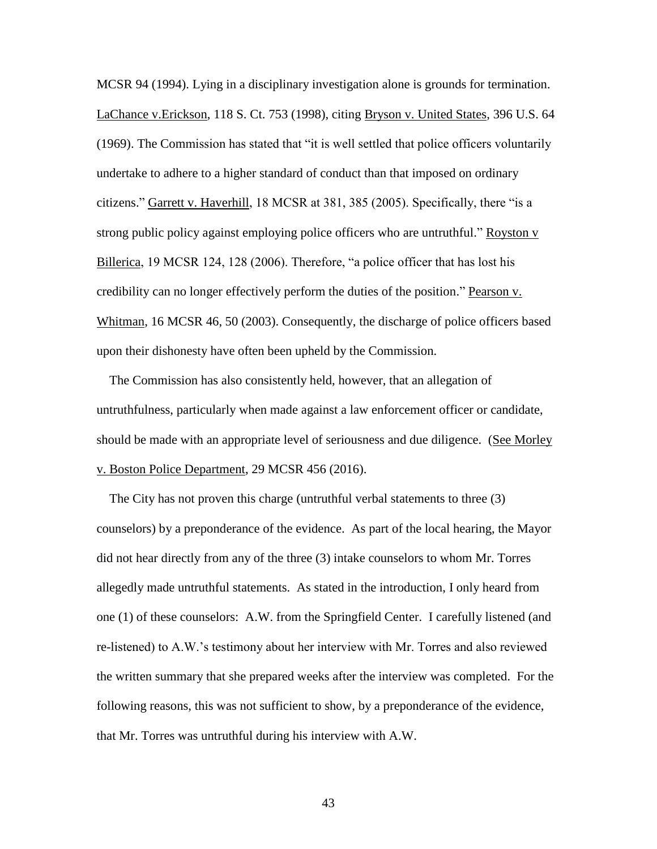MCSR 94 (1994). Lying in a disciplinary investigation alone is grounds for termination. LaChance v.Erickson, 118 S. Ct. 753 (1998), citing Bryson v. United States, 396 U.S. 64 (1969). The Commission has stated that "it is well settled that police officers voluntarily undertake to adhere to a higher standard of conduct than that imposed on ordinary citizens." Garrett v. Haverhill, 18 MCSR at 381, 385 (2005). Specifically, there "is a strong public policy against employing police officers who are untruthful." Royston v Billerica, 19 MCSR 124, 128 (2006). Therefore, "a police officer that has lost his credibility can no longer effectively perform the duties of the position." Pearson v. Whitman, 16 MCSR 46, 50 (2003). Consequently, the discharge of police officers based upon their dishonesty have often been upheld by the Commission.

 The Commission has also consistently held, however, that an allegation of untruthfulness, particularly when made against a law enforcement officer or candidate, should be made with an appropriate level of seriousness and due diligence. (See Morley v. Boston Police Department, 29 MCSR 456 (2016).

 The City has not proven this charge (untruthful verbal statements to three (3) counselors) by a preponderance of the evidence. As part of the local hearing, the Mayor did not hear directly from any of the three (3) intake counselors to whom Mr. Torres allegedly made untruthful statements. As stated in the introduction, I only heard from one (1) of these counselors: A.W. from the Springfield Center. I carefully listened (and re-listened) to A.W.'s testimony about her interview with Mr. Torres and also reviewed the written summary that she prepared weeks after the interview was completed. For the following reasons, this was not sufficient to show, by a preponderance of the evidence, that Mr. Torres was untruthful during his interview with A.W.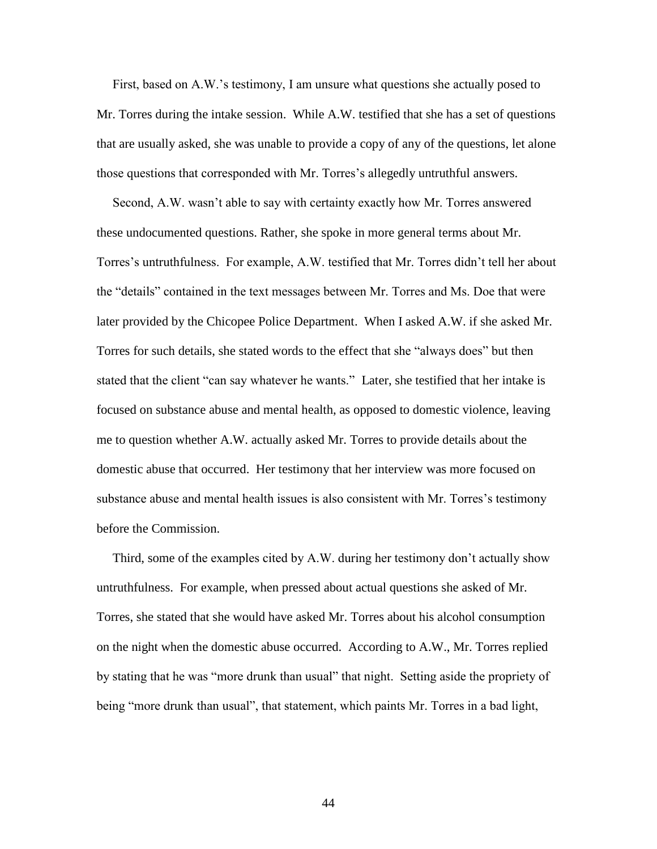First, based on A.W.'s testimony, I am unsure what questions she actually posed to Mr. Torres during the intake session. While A.W. testified that she has a set of questions that are usually asked, she was unable to provide a copy of any of the questions, let alone those questions that corresponded with Mr. Torres's allegedly untruthful answers.

 Second, A.W. wasn't able to say with certainty exactly how Mr. Torres answered these undocumented questions. Rather, she spoke in more general terms about Mr. Torres's untruthfulness. For example, A.W. testified that Mr. Torres didn't tell her about the "details" contained in the text messages between Mr. Torres and Ms. Doe that were later provided by the Chicopee Police Department. When I asked A.W. if she asked Mr. Torres for such details, she stated words to the effect that she "always does" but then stated that the client "can say whatever he wants." Later, she testified that her intake is focused on substance abuse and mental health, as opposed to domestic violence, leaving me to question whether A.W. actually asked Mr. Torres to provide details about the domestic abuse that occurred. Her testimony that her interview was more focused on substance abuse and mental health issues is also consistent with Mr. Torres's testimony before the Commission.

 Third, some of the examples cited by A.W. during her testimony don't actually show untruthfulness. For example, when pressed about actual questions she asked of Mr. Torres, she stated that she would have asked Mr. Torres about his alcohol consumption on the night when the domestic abuse occurred. According to A.W., Mr. Torres replied by stating that he was "more drunk than usual" that night. Setting aside the propriety of being "more drunk than usual", that statement, which paints Mr. Torres in a bad light,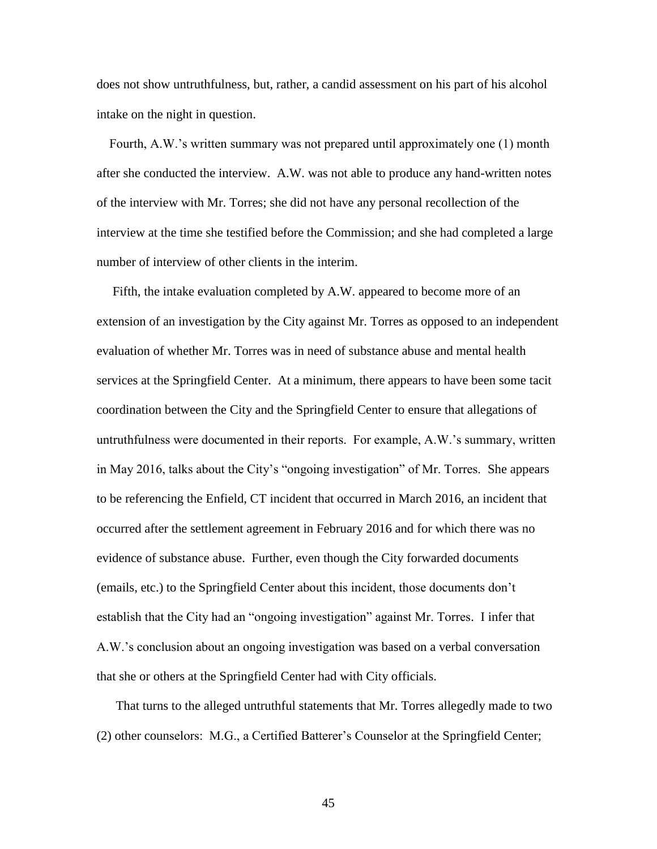does not show untruthfulness, but, rather, a candid assessment on his part of his alcohol intake on the night in question.

 Fourth, A.W.'s written summary was not prepared until approximately one (1) month after she conducted the interview. A.W. was not able to produce any hand-written notes of the interview with Mr. Torres; she did not have any personal recollection of the interview at the time she testified before the Commission; and she had completed a large number of interview of other clients in the interim.

 Fifth, the intake evaluation completed by A.W. appeared to become more of an extension of an investigation by the City against Mr. Torres as opposed to an independent evaluation of whether Mr. Torres was in need of substance abuse and mental health services at the Springfield Center. At a minimum, there appears to have been some tacit coordination between the City and the Springfield Center to ensure that allegations of untruthfulness were documented in their reports. For example, A.W.'s summary, written in May 2016, talks about the City's "ongoing investigation" of Mr. Torres. She appears to be referencing the Enfield, CT incident that occurred in March 2016, an incident that occurred after the settlement agreement in February 2016 and for which there was no evidence of substance abuse. Further, even though the City forwarded documents (emails, etc.) to the Springfield Center about this incident, those documents don't establish that the City had an "ongoing investigation" against Mr. Torres. I infer that A.W.'s conclusion about an ongoing investigation was based on a verbal conversation that she or others at the Springfield Center had with City officials.

 That turns to the alleged untruthful statements that Mr. Torres allegedly made to two (2) other counselors: M.G., a Certified Batterer's Counselor at the Springfield Center;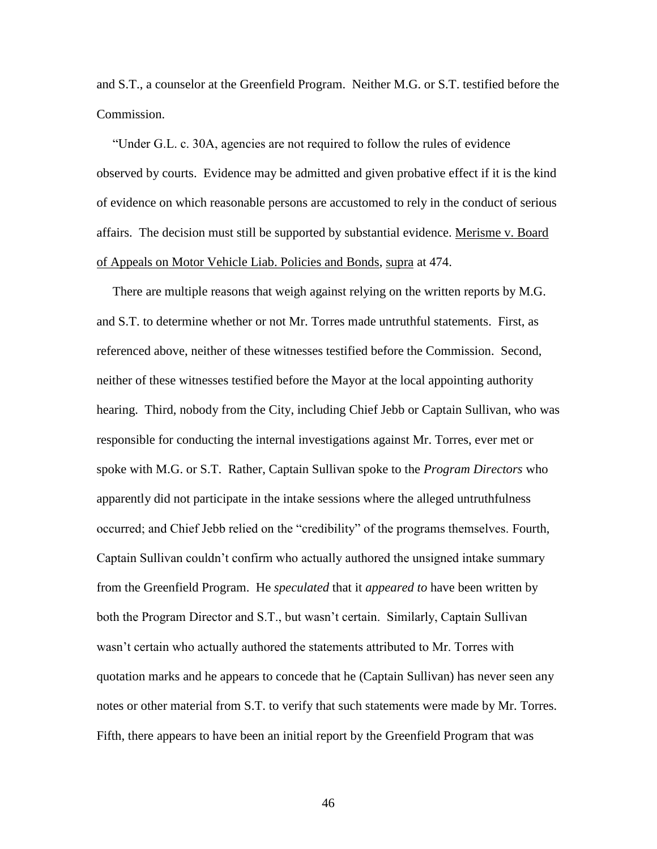and S.T., a counselor at the Greenfield Program. Neither M.G. or S.T. testified before the Commission.

 "Under G.L. c. 30A, agencies are not required to follow the rules of evidence observed by courts. Evidence may be admitted and given probative effect if it is the kind of evidence on which reasonable persons are accustomed to rely in the conduct of serious affairs. The decision must still be supported by substantial evidence. Merisme v. Board of Appeals on Motor Vehicle Liab. Policies and Bonds, supra at 474.

 There are multiple reasons that weigh against relying on the written reports by M.G. and S.T. to determine whether or not Mr. Torres made untruthful statements. First, as referenced above, neither of these witnesses testified before the Commission. Second, neither of these witnesses testified before the Mayor at the local appointing authority hearing. Third, nobody from the City, including Chief Jebb or Captain Sullivan, who was responsible for conducting the internal investigations against Mr. Torres, ever met or spoke with M.G. or S.T. Rather, Captain Sullivan spoke to the *Program Directors* who apparently did not participate in the intake sessions where the alleged untruthfulness occurred; and Chief Jebb relied on the "credibility" of the programs themselves. Fourth, Captain Sullivan couldn't confirm who actually authored the unsigned intake summary from the Greenfield Program. He *speculated* that it *appeared to* have been written by both the Program Director and S.T., but wasn't certain. Similarly, Captain Sullivan wasn't certain who actually authored the statements attributed to Mr. Torres with quotation marks and he appears to concede that he (Captain Sullivan) has never seen any notes or other material from S.T. to verify that such statements were made by Mr. Torres. Fifth, there appears to have been an initial report by the Greenfield Program that was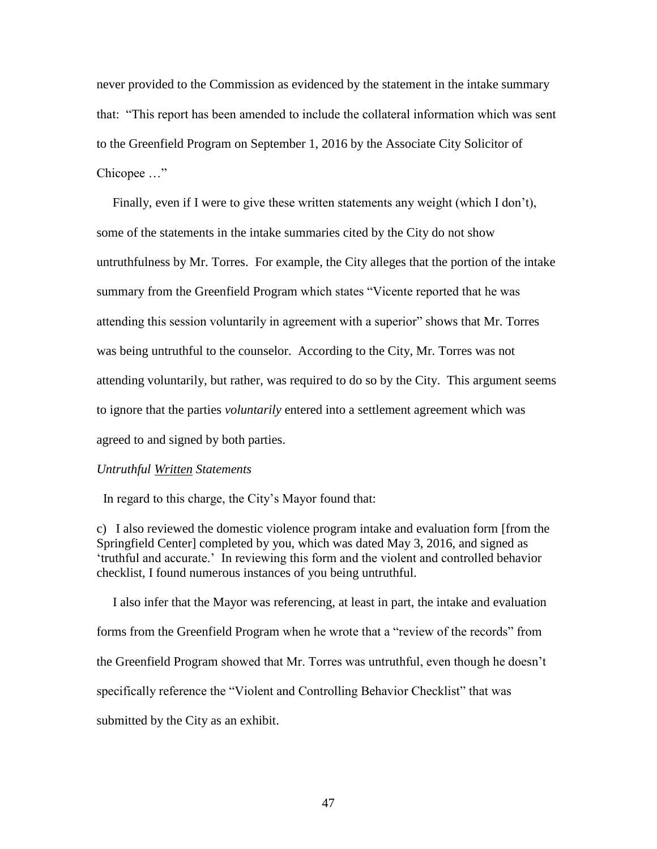never provided to the Commission as evidenced by the statement in the intake summary that: "This report has been amended to include the collateral information which was sent to the Greenfield Program on September 1, 2016 by the Associate City Solicitor of Chicopee …"

 Finally, even if I were to give these written statements any weight (which I don't), some of the statements in the intake summaries cited by the City do not show untruthfulness by Mr. Torres. For example, the City alleges that the portion of the intake summary from the Greenfield Program which states "Vicente reported that he was attending this session voluntarily in agreement with a superior" shows that Mr. Torres was being untruthful to the counselor. According to the City, Mr. Torres was not attending voluntarily, but rather, was required to do so by the City. This argument seems to ignore that the parties *voluntarily* entered into a settlement agreement which was agreed to and signed by both parties.

#### *Untruthful Written Statements*

In regard to this charge, the City's Mayor found that:

c) I also reviewed the domestic violence program intake and evaluation form [from the Springfield Center] completed by you, which was dated May 3, 2016, and signed as 'truthful and accurate.' In reviewing this form and the violent and controlled behavior checklist, I found numerous instances of you being untruthful.

 I also infer that the Mayor was referencing, at least in part, the intake and evaluation forms from the Greenfield Program when he wrote that a "review of the records" from the Greenfield Program showed that Mr. Torres was untruthful, even though he doesn't specifically reference the "Violent and Controlling Behavior Checklist" that was submitted by the City as an exhibit.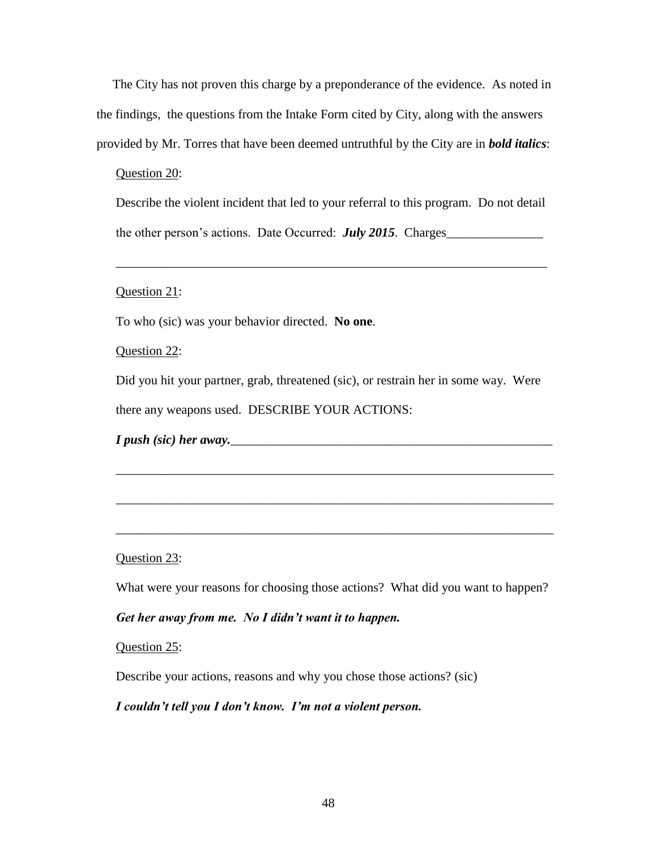The City has not proven this charge by a preponderance of the evidence. As noted in the findings, the questions from the Intake Form cited by City, along with the answers provided by Mr. Torres that have been deemed untruthful by the City are in *bold italics*:

## Question 20:

Describe the violent incident that led to your referral to this program. Do not detail the other person's actions. Date Occurred: *July 2015*. Charges\_\_\_\_\_\_\_\_\_\_\_\_\_\_\_

\_\_\_\_\_\_\_\_\_\_\_\_\_\_\_\_\_\_\_\_\_\_\_\_\_\_\_\_\_\_\_\_\_\_\_\_\_\_\_\_\_\_\_\_\_\_\_\_\_\_\_\_\_\_\_\_\_\_\_\_\_\_\_\_\_\_\_

# Question 21:

To who (sic) was your behavior directed. **No one**.

Question 22:

Did you hit your partner, grab, threatened (sic), or restrain her in some way. Were there any weapons used. DESCRIBE YOUR ACTIONS:

\_\_\_\_\_\_\_\_\_\_\_\_\_\_\_\_\_\_\_\_\_\_\_\_\_\_\_\_\_\_\_\_\_\_\_\_\_\_\_\_\_\_\_\_\_\_\_\_\_\_\_\_\_\_\_\_\_\_\_\_\_\_\_\_\_\_\_\_

\_\_\_\_\_\_\_\_\_\_\_\_\_\_\_\_\_\_\_\_\_\_\_\_\_\_\_\_\_\_\_\_\_\_\_\_\_\_\_\_\_\_\_\_\_\_\_\_\_\_\_\_\_\_\_\_\_\_\_\_\_\_\_\_\_\_\_\_

\_\_\_\_\_\_\_\_\_\_\_\_\_\_\_\_\_\_\_\_\_\_\_\_\_\_\_\_\_\_\_\_\_\_\_\_\_\_\_\_\_\_\_\_\_\_\_\_\_\_\_\_\_\_\_\_\_\_\_\_\_\_\_\_\_\_\_\_

*I* push (sic) her away.

# Question 23:

What were your reasons for choosing those actions? What did you want to happen?

# *Get her away from me. No I didn't want it to happen.*

## Question 25:

Describe your actions, reasons and why you chose those actions? (sic)

# *I couldn't tell you I don't know. I'm not a violent person.*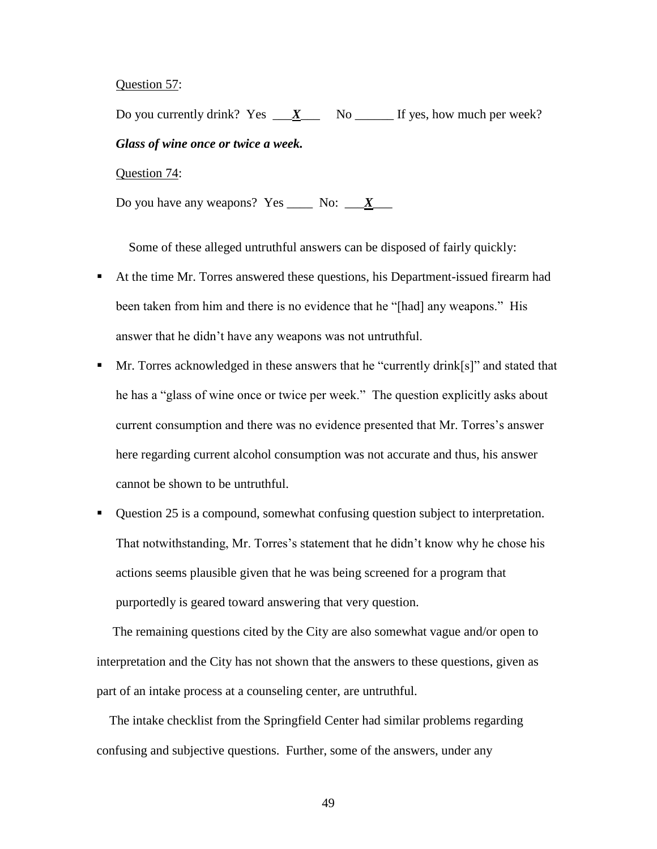Question 57:

Do you currently drink? Yes  $X_{\text{max}}$  No  $\text{max}$  If yes, how much per week? *Glass of wine once or twice a week.* Question 74:

Do you have any weapons? Yes \_\_\_\_\_ No:  $\frac{\mathbf{X}}{\mathbf{X}}$ 

Some of these alleged untruthful answers can be disposed of fairly quickly:

- At the time Mr. Torres answered these questions, his Department-issued firearm had been taken from him and there is no evidence that he "[had] any weapons." His answer that he didn't have any weapons was not untruthful.
- Mr. Torres acknowledged in these answers that he "currently drink[s]" and stated that he has a "glass of wine once or twice per week." The question explicitly asks about current consumption and there was no evidence presented that Mr. Torres's answer here regarding current alcohol consumption was not accurate and thus, his answer cannot be shown to be untruthful.
- Question 25 is a compound, somewhat confusing question subject to interpretation. That notwithstanding, Mr. Torres's statement that he didn't know why he chose his actions seems plausible given that he was being screened for a program that purportedly is geared toward answering that very question.

 The remaining questions cited by the City are also somewhat vague and/or open to interpretation and the City has not shown that the answers to these questions, given as part of an intake process at a counseling center, are untruthful.

 The intake checklist from the Springfield Center had similar problems regarding confusing and subjective questions. Further, some of the answers, under any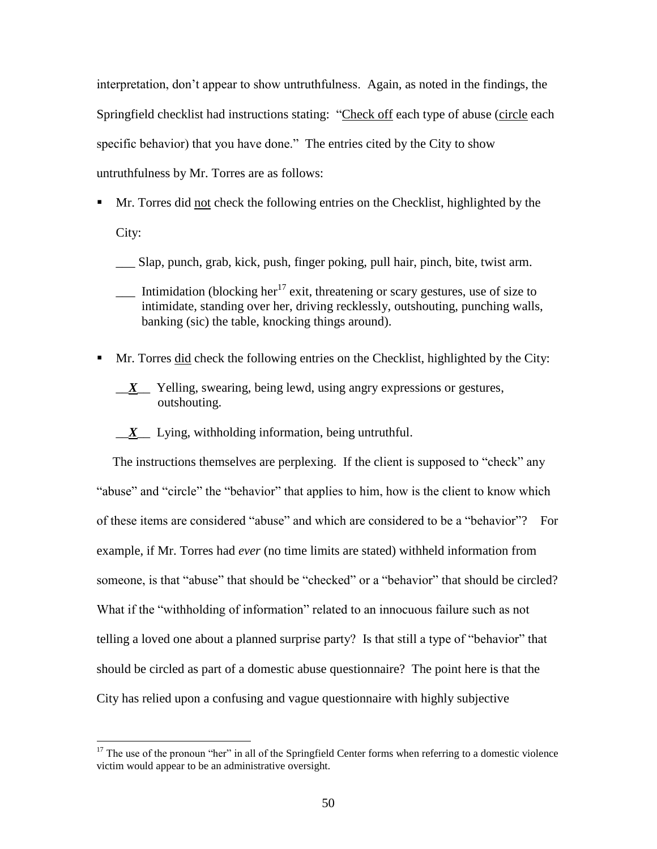interpretation, don't appear to show untruthfulness. Again, as noted in the findings, the Springfield checklist had instructions stating: "Check off each type of abuse (circle each specific behavior) that you have done." The entries cited by the City to show untruthfulness by Mr. Torres are as follows:

- Mr. Torres did not check the following entries on the Checklist, highlighted by the City:
	- \_\_\_ Slap, punch, grab, kick, push, finger poking, pull hair, pinch, bite, twist arm.
	- Intimidation (blocking her<sup>17</sup> exit, threatening or scary gestures, use of size to intimidate, standing over her, driving recklessly, outshouting, punching walls, banking (sic) the table, knocking things around).
- Mr. Torres did check the following entries on the Checklist, highlighted by the City:
	- \_\_*X*\_\_ Yelling, swearing, being lewd, using angry expressions or gestures, outshouting.
	- \_\_*X*\_\_ Lying, withholding information, being untruthful.

 $\overline{a}$ 

 The instructions themselves are perplexing. If the client is supposed to "check" any "abuse" and "circle" the "behavior" that applies to him, how is the client to know which of these items are considered "abuse" and which are considered to be a "behavior"? For example, if Mr. Torres had *ever* (no time limits are stated) withheld information from someone, is that "abuse" that should be "checked" or a "behavior" that should be circled? What if the "withholding of information" related to an innocuous failure such as not telling a loved one about a planned surprise party? Is that still a type of "behavior" that should be circled as part of a domestic abuse questionnaire? The point here is that the City has relied upon a confusing and vague questionnaire with highly subjective

 $17$  The use of the pronoun "her" in all of the Springfield Center forms when referring to a domestic violence victim would appear to be an administrative oversight.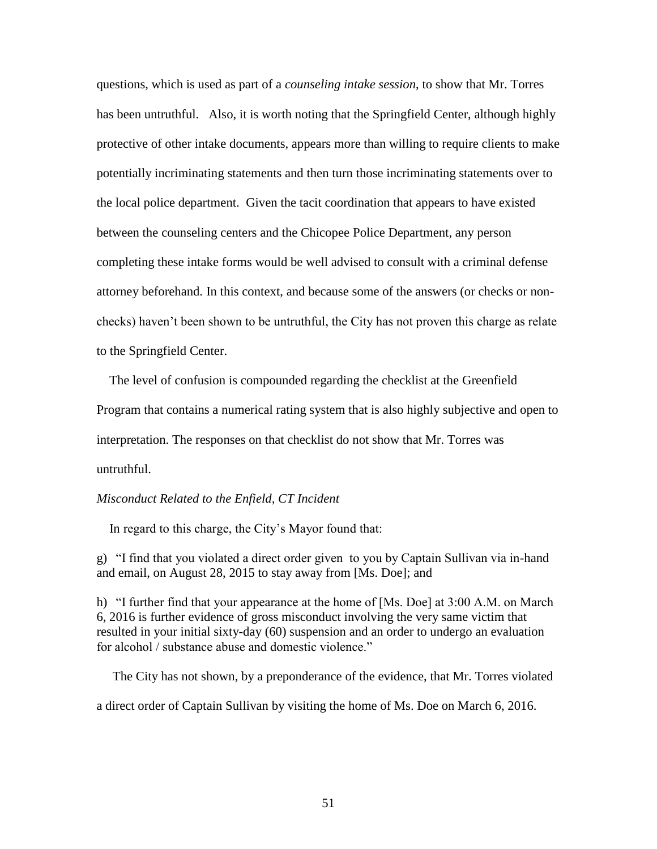questions, which is used as part of a *counseling intake session*, to show that Mr. Torres has been untruthful. Also, it is worth noting that the Springfield Center, although highly protective of other intake documents, appears more than willing to require clients to make potentially incriminating statements and then turn those incriminating statements over to the local police department. Given the tacit coordination that appears to have existed between the counseling centers and the Chicopee Police Department, any person completing these intake forms would be well advised to consult with a criminal defense attorney beforehand. In this context, and because some of the answers (or checks or nonchecks) haven't been shown to be untruthful, the City has not proven this charge as relate to the Springfield Center.

The level of confusion is compounded regarding the checklist at the Greenfield

Program that contains a numerical rating system that is also highly subjective and open to

interpretation. The responses on that checklist do not show that Mr. Torres was

untruthful.

#### *Misconduct Related to the Enfield, CT Incident*

In regard to this charge, the City's Mayor found that:

g) "I find that you violated a direct order given to you by Captain Sullivan via in-hand and email, on August 28, 2015 to stay away from [Ms. Doe]; and

h) "I further find that your appearance at the home of [Ms. Doe] at 3:00 A.M. on March 6, 2016 is further evidence of gross misconduct involving the very same victim that resulted in your initial sixty-day (60) suspension and an order to undergo an evaluation for alcohol / substance abuse and domestic violence."

 The City has not shown, by a preponderance of the evidence, that Mr. Torres violated a direct order of Captain Sullivan by visiting the home of Ms. Doe on March 6, 2016.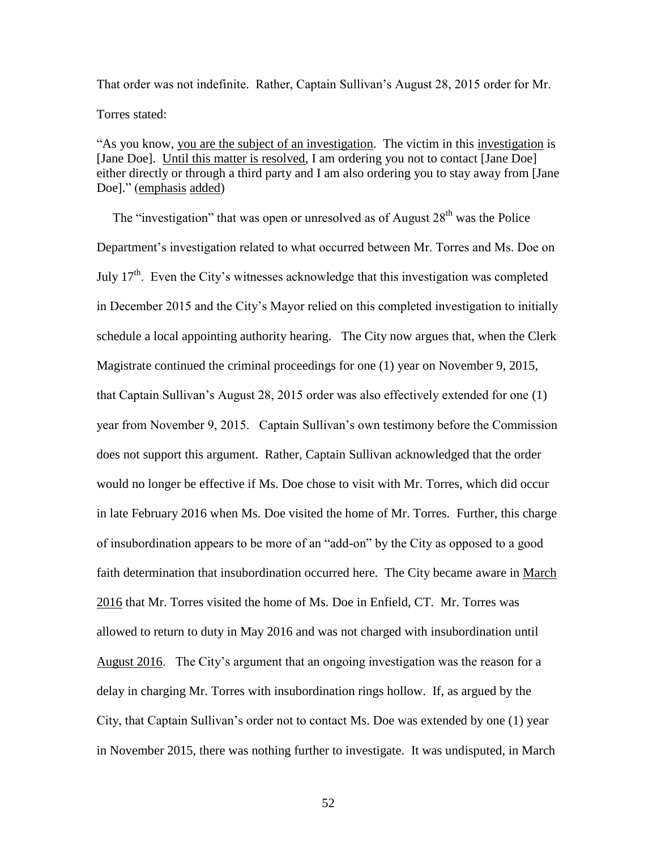That order was not indefinite. Rather, Captain Sullivan's August 28, 2015 order for Mr. Torres stated:

"As you know, you are the subject of an investigation. The victim in this investigation is [Jane Doe]. Until this matter is resolved, I am ordering you not to contact [Jane Doe] either directly or through a third party and I am also ordering you to stay away from [Jane Doe]." (emphasis added)

The "investigation" that was open or unresolved as of August  $28<sup>th</sup>$  was the Police Department's investigation related to what occurred between Mr. Torres and Ms. Doe on July  $17<sup>th</sup>$ . Even the City's witnesses acknowledge that this investigation was completed in December 2015 and the City's Mayor relied on this completed investigation to initially schedule a local appointing authority hearing. The City now argues that, when the Clerk Magistrate continued the criminal proceedings for one (1) year on November 9, 2015, that Captain Sullivan's August 28, 2015 order was also effectively extended for one (1) year from November 9, 2015. Captain Sullivan's own testimony before the Commission does not support this argument. Rather, Captain Sullivan acknowledged that the order would no longer be effective if Ms. Doe chose to visit with Mr. Torres, which did occur in late February 2016 when Ms. Doe visited the home of Mr. Torres. Further, this charge of insubordination appears to be more of an "add-on" by the City as opposed to a good faith determination that insubordination occurred here. The City became aware in March 2016 that Mr. Torres visited the home of Ms. Doe in Enfield, CT. Mr. Torres was allowed to return to duty in May 2016 and was not charged with insubordination until August 2016. The City's argument that an ongoing investigation was the reason for a delay in charging Mr. Torres with insubordination rings hollow. If, as argued by the City, that Captain Sullivan's order not to contact Ms. Doe was extended by one (1) year in November 2015, there was nothing further to investigate. It was undisputed, in March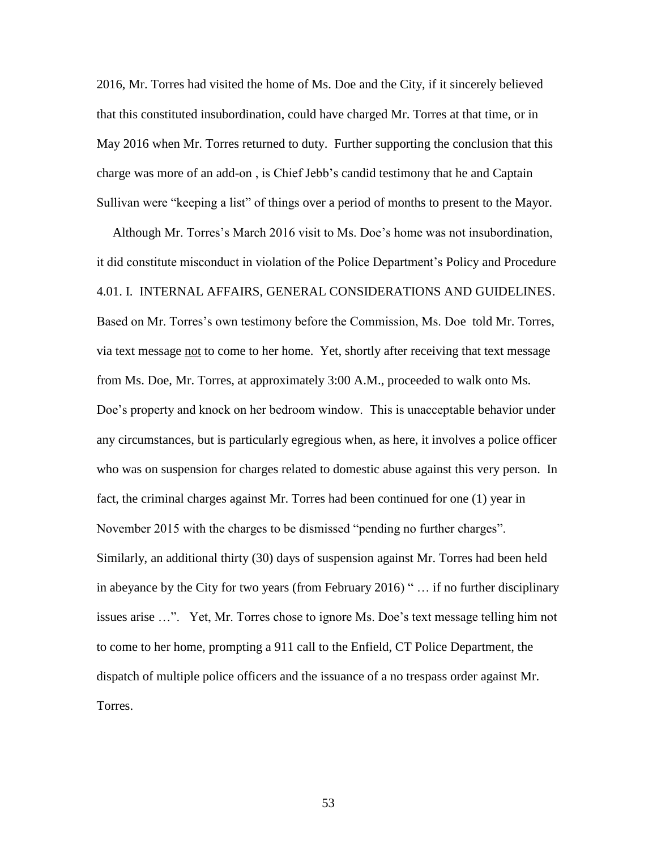2016, Mr. Torres had visited the home of Ms. Doe and the City, if it sincerely believed that this constituted insubordination, could have charged Mr. Torres at that time, or in May 2016 when Mr. Torres returned to duty. Further supporting the conclusion that this charge was more of an add-on , is Chief Jebb's candid testimony that he and Captain Sullivan were "keeping a list" of things over a period of months to present to the Mayor.

 Although Mr. Torres's March 2016 visit to Ms. Doe's home was not insubordination, it did constitute misconduct in violation of the Police Department's Policy and Procedure 4.01. I. INTERNAL AFFAIRS, GENERAL CONSIDERATIONS AND GUIDELINES. Based on Mr. Torres's own testimony before the Commission, Ms. Doe told Mr. Torres, via text message not to come to her home. Yet, shortly after receiving that text message from Ms. Doe, Mr. Torres, at approximately 3:00 A.M., proceeded to walk onto Ms. Doe's property and knock on her bedroom window. This is unacceptable behavior under any circumstances, but is particularly egregious when, as here, it involves a police officer who was on suspension for charges related to domestic abuse against this very person. In fact, the criminal charges against Mr. Torres had been continued for one (1) year in November 2015 with the charges to be dismissed "pending no further charges". Similarly, an additional thirty (30) days of suspension against Mr. Torres had been held in abeyance by the City for two years (from February 2016) " … if no further disciplinary issues arise …". Yet, Mr. Torres chose to ignore Ms. Doe's text message telling him not to come to her home, prompting a 911 call to the Enfield, CT Police Department, the dispatch of multiple police officers and the issuance of a no trespass order against Mr. Torres.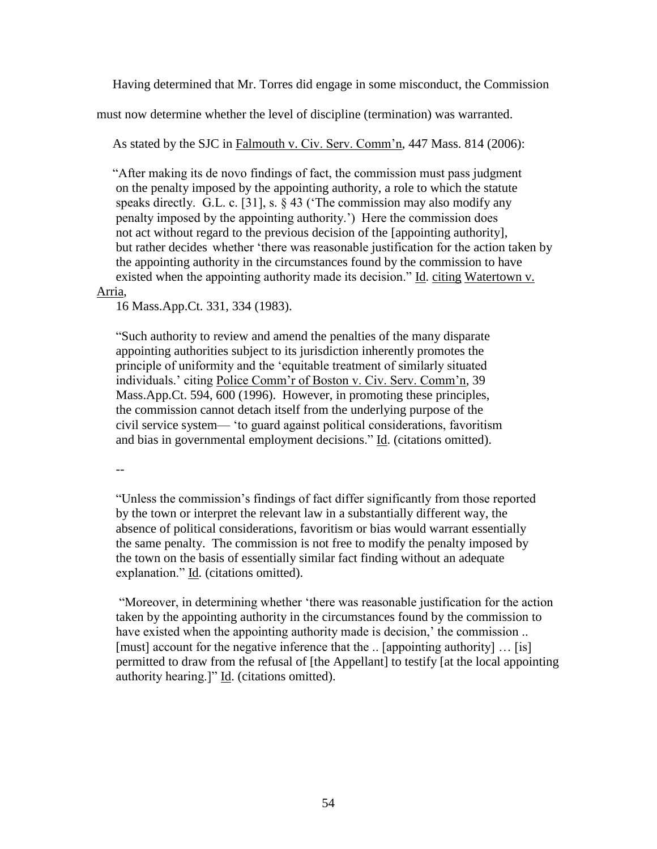Having determined that Mr. Torres did engage in some misconduct, the Commission

must now determine whether the level of discipline (termination) was warranted.

As stated by the SJC in Falmouth v. Civ. Serv. Comm'n, 447 Mass. 814 (2006):

 "After making its de novo findings of fact, the commission must pass judgment on the penalty imposed by the appointing authority, a role to which the statute speaks directly. G.L. c. [31], s. § 43 ('The commission may also modify any penalty imposed by the appointing authority.') Here the commission does not act without regard to the previous decision of the [appointing authority], but rather decides whether 'there was reasonable justification for the action taken by the appointing authority in the circumstances found by the commission to have existed when the appointing authority made its decision." Id. citing Watertown v.

## Arria,

16 Mass.App.Ct. 331, 334 (1983).

"Such authority to review and amend the penalties of the many disparate appointing authorities subject to its jurisdiction inherently promotes the principle of uniformity and the 'equitable treatment of similarly situated individuals.' citing Police Comm'r of Boston v. Civ. Serv. Comm'n, 39 Mass.App.Ct. 594, 600 (1996). However, in promoting these principles, the commission cannot detach itself from the underlying purpose of the civil service system— 'to guard against political considerations, favoritism and bias in governmental employment decisions." Id. (citations omitted).

--

"Unless the commission's findings of fact differ significantly from those reported by the town or interpret the relevant law in a substantially different way, the absence of political considerations, favoritism or bias would warrant essentially the same penalty. The commission is not free to modify the penalty imposed by the town on the basis of essentially similar fact finding without an adequate explanation." Id. (citations omitted).

 "Moreover, in determining whether 'there was reasonable justification for the action taken by the appointing authority in the circumstances found by the commission to have existed when the appointing authority made is decision, the commission ... [must] account for the negative inference that the .. [appointing authority] … [is] permitted to draw from the refusal of [the Appellant] to testify [at the local appointing authority hearing.]" Id. (citations omitted).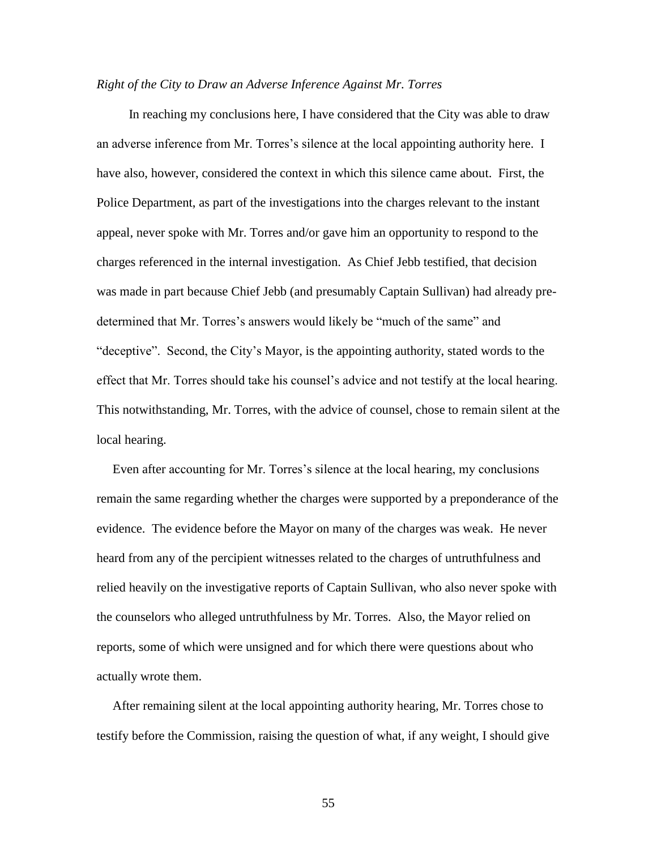#### *Right of the City to Draw an Adverse Inference Against Mr. Torres*

 In reaching my conclusions here, I have considered that the City was able to draw an adverse inference from Mr. Torres's silence at the local appointing authority here. I have also, however, considered the context in which this silence came about. First, the Police Department, as part of the investigations into the charges relevant to the instant appeal, never spoke with Mr. Torres and/or gave him an opportunity to respond to the charges referenced in the internal investigation. As Chief Jebb testified, that decision was made in part because Chief Jebb (and presumably Captain Sullivan) had already predetermined that Mr. Torres's answers would likely be "much of the same" and "deceptive". Second, the City's Mayor, is the appointing authority, stated words to the effect that Mr. Torres should take his counsel's advice and not testify at the local hearing. This notwithstanding, Mr. Torres, with the advice of counsel, chose to remain silent at the local hearing.

 Even after accounting for Mr. Torres's silence at the local hearing, my conclusions remain the same regarding whether the charges were supported by a preponderance of the evidence. The evidence before the Mayor on many of the charges was weak. He never heard from any of the percipient witnesses related to the charges of untruthfulness and relied heavily on the investigative reports of Captain Sullivan, who also never spoke with the counselors who alleged untruthfulness by Mr. Torres. Also, the Mayor relied on reports, some of which were unsigned and for which there were questions about who actually wrote them.

 After remaining silent at the local appointing authority hearing, Mr. Torres chose to testify before the Commission, raising the question of what, if any weight, I should give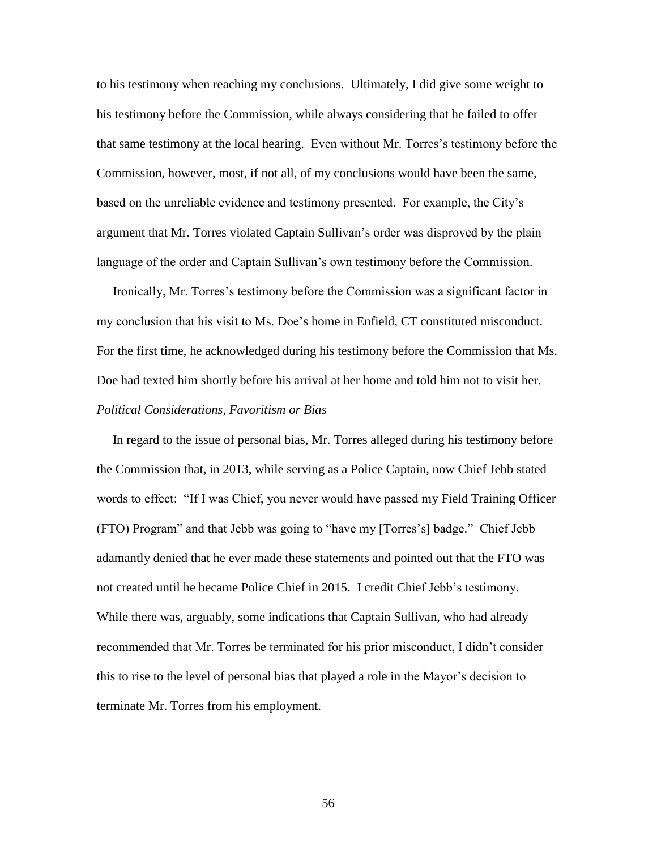to his testimony when reaching my conclusions. Ultimately, I did give some weight to his testimony before the Commission, while always considering that he failed to offer that same testimony at the local hearing. Even without Mr. Torres's testimony before the Commission, however, most, if not all, of my conclusions would have been the same, based on the unreliable evidence and testimony presented. For example, the City's argument that Mr. Torres violated Captain Sullivan's order was disproved by the plain language of the order and Captain Sullivan's own testimony before the Commission.

 Ironically, Mr. Torres's testimony before the Commission was a significant factor in my conclusion that his visit to Ms. Doe's home in Enfield, CT constituted misconduct. For the first time, he acknowledged during his testimony before the Commission that Ms. Doe had texted him shortly before his arrival at her home and told him not to visit her.

## *Political Considerations, Favoritism or Bias*

 In regard to the issue of personal bias, Mr. Torres alleged during his testimony before the Commission that, in 2013, while serving as a Police Captain, now Chief Jebb stated words to effect: "If I was Chief, you never would have passed my Field Training Officer (FTO) Program" and that Jebb was going to "have my [Torres's] badge." Chief Jebb adamantly denied that he ever made these statements and pointed out that the FTO was not created until he became Police Chief in 2015. I credit Chief Jebb's testimony. While there was, arguably, some indications that Captain Sullivan, who had already recommended that Mr. Torres be terminated for his prior misconduct, I didn't consider this to rise to the level of personal bias that played a role in the Mayor's decision to terminate Mr. Torres from his employment.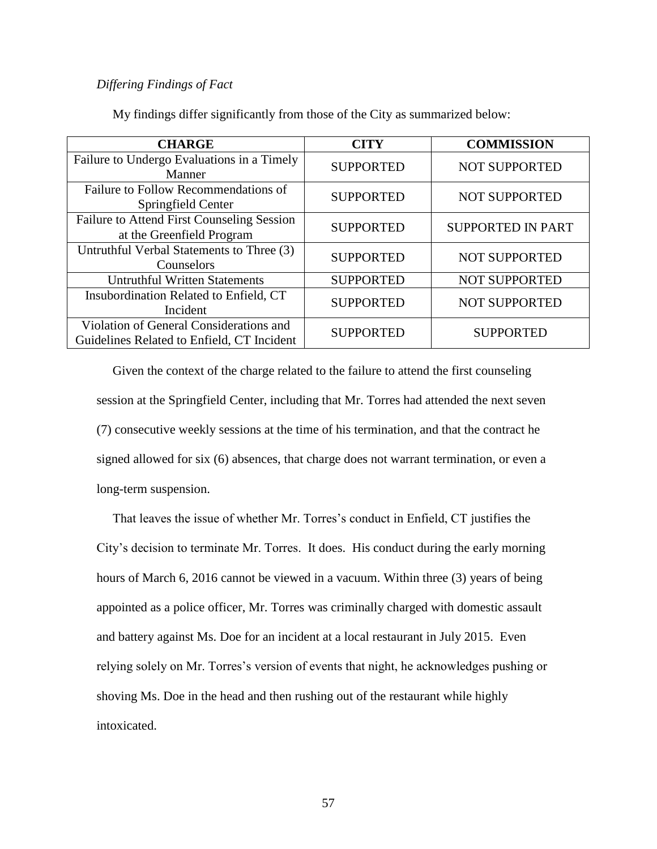## *Differing Findings of Fact*

| <b>CHARGE</b>                                                                         | <b>CITY</b>      | <b>COMMISSION</b>        |
|---------------------------------------------------------------------------------------|------------------|--------------------------|
| Failure to Undergo Evaluations in a Timely<br>Manner                                  | <b>SUPPORTED</b> | <b>NOT SUPPORTED</b>     |
| Failure to Follow Recommendations of<br>Springfield Center                            | <b>SUPPORTED</b> | <b>NOT SUPPORTED</b>     |
| <b>Failure to Attend First Counseling Session</b><br>at the Greenfield Program        | <b>SUPPORTED</b> | <b>SUPPORTED IN PART</b> |
| Untruthful Verbal Statements to Three (3)<br>Counselors                               | <b>SUPPORTED</b> | <b>NOT SUPPORTED</b>     |
| <b>Untruthful Written Statements</b>                                                  | <b>SUPPORTED</b> | NOT SUPPORTED            |
| Insubordination Related to Enfield, CT<br>Incident                                    | <b>SUPPORTED</b> | <b>NOT SUPPORTED</b>     |
| Violation of General Considerations and<br>Guidelines Related to Enfield, CT Incident | <b>SUPPORTED</b> | <b>SUPPORTED</b>         |

My findings differ significantly from those of the City as summarized below:

 Given the context of the charge related to the failure to attend the first counseling session at the Springfield Center, including that Mr. Torres had attended the next seven (7) consecutive weekly sessions at the time of his termination, and that the contract he signed allowed for six (6) absences, that charge does not warrant termination, or even a long-term suspension.

 That leaves the issue of whether Mr. Torres's conduct in Enfield, CT justifies the City's decision to terminate Mr. Torres. It does. His conduct during the early morning hours of March 6, 2016 cannot be viewed in a vacuum. Within three (3) years of being appointed as a police officer, Mr. Torres was criminally charged with domestic assault and battery against Ms. Doe for an incident at a local restaurant in July 2015. Even relying solely on Mr. Torres's version of events that night, he acknowledges pushing or shoving Ms. Doe in the head and then rushing out of the restaurant while highly intoxicated.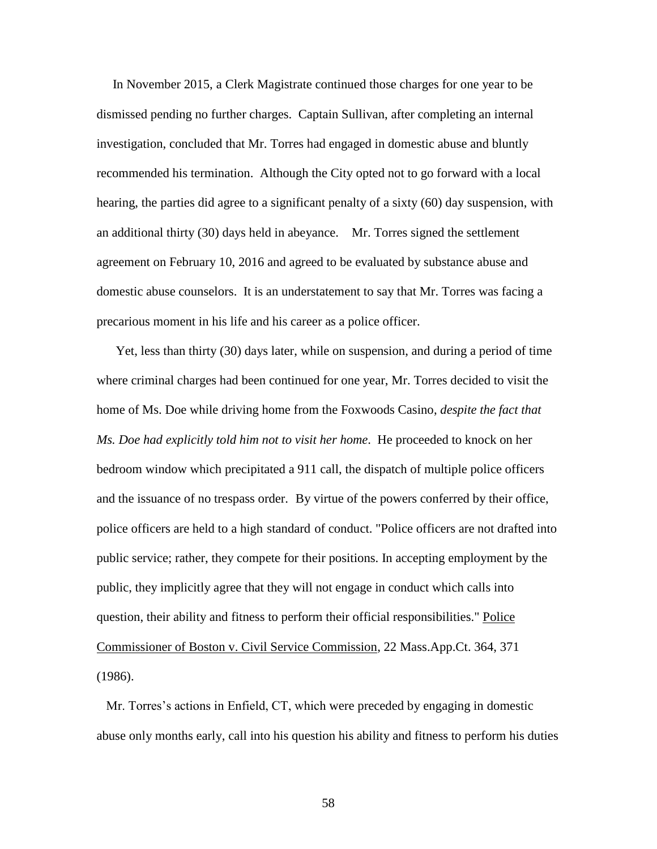In November 2015, a Clerk Magistrate continued those charges for one year to be dismissed pending no further charges. Captain Sullivan, after completing an internal investigation, concluded that Mr. Torres had engaged in domestic abuse and bluntly recommended his termination. Although the City opted not to go forward with a local hearing, the parties did agree to a significant penalty of a sixty (60) day suspension, with an additional thirty (30) days held in abeyance. Mr. Torres signed the settlement agreement on February 10, 2016 and agreed to be evaluated by substance abuse and domestic abuse counselors. It is an understatement to say that Mr. Torres was facing a precarious moment in his life and his career as a police officer.

 Yet, less than thirty (30) days later, while on suspension, and during a period of time where criminal charges had been continued for one year, Mr. Torres decided to visit the home of Ms. Doe while driving home from the Foxwoods Casino, *despite the fact that Ms. Doe had explicitly told him not to visit her home*. He proceeded to knock on her bedroom window which precipitated a 911 call, the dispatch of multiple police officers and the issuance of no trespass order. By virtue of the powers conferred by their office, police officers are held to a high [s](http://sll.gvpi.net/document.php?id=csc:csc14k-46&type=hitlist&num=15#hit3)tandar[d](http://sll.gvpi.net/document.php?id=csc:csc14k-46&type=hitlist&num=15#hit5) of conduct. "Police officers are not drafted into public service; rather, they compete for their positions. In accepting employment by the public, they implicitly agree that they will not engage in conduct which calls into question, their ability and fitness to perform their official responsibilities." Police Commissioner of Boston v. Civil Service Commission, 22 Mass.App.Ct. 364, 371 (1986).

 Mr. Torres's actions in Enfield, CT, which were preceded by engaging in domestic abuse only months early, call into his question his ability and fitness to perform his duties